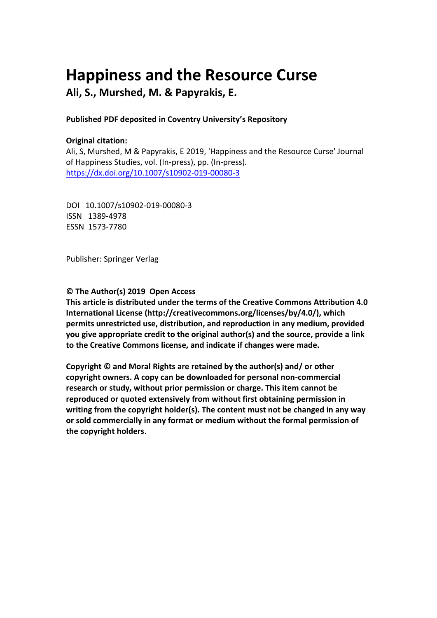# **Happiness and the Resource Curse**

**Ali, S., Murshed, M. & Papyrakis, E.**

# **Published PDF deposited in Coventry University's Repository**

# **Original citation:**

Ali, S, Murshed, M & Papyrakis, E 2019, 'Happiness and the Resource Curse' Journal of Happiness Studies, vol. (In-press), pp. (In-press). https://dx.doi.org/10.1007/s10902-019-00080-3

DOI 10.1007/s10902-019-00080-3 ISSN 1389-4978 ESSN 1573-7780

Publisher: Springer Verlag

# **© The Author(s) 2019 Open Access**

**This article is distributed under the terms of the Creative Commons Attribution 4.0 International License (http://creativecommons.org/licenses/by/4.0/), which permits unrestricted use, distribution, and reproduction in any medium, provided you give appropriate credit to the original author(s) and the source, provide a link to the Creative Commons license, and indicate if changes were made.**

**Copyright © and Moral Rights are retained by the author(s) and/ or other copyright owners. A copy can be downloaded for personal non-commercial research or study, without prior permission or charge. This item cannot be reproduced or quoted extensively from without first obtaining permission in writing from the copyright holder(s). The content must not be changed in any way or sold commercially in any format or medium without the formal permission of the copyright holders**.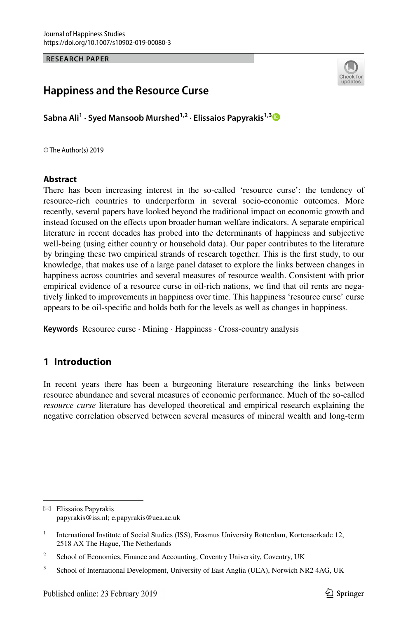**RESEARCH PAPER**



### **Happiness and the Resource Curse**

Sabna Ali<sup>1</sup> · Syed Mansoob Murshed<sup>1,2</sup> · Elissaios Papyrakis<sup>1,[3](http://orcid.org/0000-0002-3205-9432)</sup>

© The Author(s) 2019

#### **Abstract**

There has been increasing interest in the so-called 'resource curse': the tendency of resource-rich countries to underperform in several socio-economic outcomes. More recently, several papers have looked beyond the traditional impact on economic growth and instead focused on the efects upon broader human welfare indicators. A separate empirical literature in recent decades has probed into the determinants of happiness and subjective well-being (using either country or household data). Our paper contributes to the literature by bringing these two empirical strands of research together. This is the frst study, to our knowledge, that makes use of a large panel dataset to explore the links between changes in happiness across countries and several measures of resource wealth. Consistent with prior empirical evidence of a resource curse in oil-rich nations, we fnd that oil rents are negatively linked to improvements in happiness over time. This happiness 'resource curse' curse appears to be oil-specifc and holds both for the levels as well as changes in happiness.

**Keywords** Resource curse · Mining · Happiness · Cross-country analysis

#### **1 Introduction**

In recent years there has been a burgeoning literature researching the links between resource abundance and several measures of economic performance. Much of the so-called *resource curse* literature has developed theoretical and empirical research explaining the negative correlation observed between several measures of mineral wealth and long-term

 $\boxtimes$  Elissaios Papyrakis papyrakis@iss.nl; e.papyrakis@uea.ac.uk

<sup>&</sup>lt;sup>1</sup> International Institute of Social Studies (ISS), Erasmus University Rotterdam, Kortenaerkade 12, 2518 AX The Hague, The Netherlands

<sup>&</sup>lt;sup>2</sup> School of Economics, Finance and Accounting, Coventry University, Coventry, UK

<sup>&</sup>lt;sup>3</sup> School of International Development, University of East Anglia (UEA), Norwich NR2 4AG, UK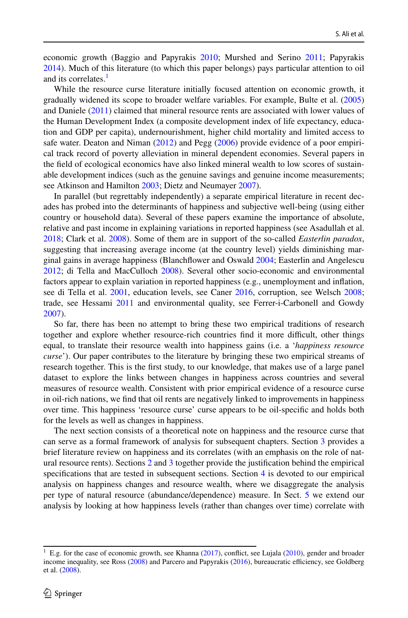economic growth (Baggio and Papyrakis [2010;](#page-26-0) Murshed and Serino [2011;](#page-27-0) Papyrakis [2014\)](#page-28-0). Much of this literature (to which this paper belongs) pays particular attention to oil and its correlates. $\frac{1}{1}$  $\frac{1}{1}$  $\frac{1}{1}$ 

While the resource curse literature initially focused attention on economic growth, it gradually widened its scope to broader welfare variables. For example, Bulte et al. [\(2005](#page-26-1)) and Daniele [\(2011](#page-26-2)) claimed that mineral resource rents are associated with lower values of the Human Development Index (a composite development index of life expectancy, education and GDP per capita), undernourishment, higher child mortality and limited access to safe water. Deaton and Niman [\(2012](#page-26-3)) and Pegg [\(2006](#page-28-1)) provide evidence of a poor empirical track record of poverty alleviation in mineral dependent economies. Several papers in the feld of ecological economics have also linked mineral wealth to low scores of sustainable development indices (such as the genuine savings and genuine income measurements; see Atkinson and Hamilton [2003;](#page-26-4) Dietz and Neumayer [2007](#page-27-1)).

In parallel (but regrettably independently) a separate empirical literature in recent decades has probed into the determinants of happiness and subjective well-being (using either country or household data). Several of these papers examine the importance of absolute, relative and past income in explaining variations in reported happiness (see Asadullah et al. [2018;](#page-26-5) Clark et al. [2008](#page-26-6)). Some of them are in support of the so-called *Easterlin paradox*, suggesting that increasing average income (at the country level) yields diminishing marginal gains in average happiness (Blanchfower and Oswald [2004](#page-26-7); Easterlin and Angelescu [2012;](#page-27-2) di Tella and MacCulloch [2008\)](#page-26-8). Several other socio-economic and environmental factors appear to explain variation in reported happiness (e.g., unemployment and infation, see di Tella et al. [2001,](#page-26-9) education levels, see Caner [2016](#page-26-10), corruption, see Welsch [2008;](#page-28-2) trade, see Hessami [2011](#page-27-3) and environmental quality, see Ferrer-i-Carbonell and Gowdy [2007\)](#page-27-4).

So far, there has been no attempt to bring these two empirical traditions of research together and explore whether resource-rich countries fnd it more difcult, other things equal, to translate their resource wealth into happiness gains (i.e. a '*happiness resource curse*'). Our paper contributes to the literature by bringing these two empirical streams of research together. This is the frst study, to our knowledge, that makes use of a large panel dataset to explore the links between changes in happiness across countries and several measures of resource wealth. Consistent with prior empirical evidence of a resource curse in oil-rich nations, we fnd that oil rents are negatively linked to improvements in happiness over time. This happiness 'resource curse' curse appears to be oil-specifc and holds both for the levels as well as changes in happiness.

The next section consists of a theoretical note on happiness and the resource curse that can serve as a formal framework of analysis for subsequent chapters. Section [3](#page-4-0) provides a brief literature review on happiness and its correlates (with an emphasis on the role of natural resource rents). Sections [2](#page-3-0) and [3](#page-4-0) together provide the justifcation behind the empirical specifcations that are tested in subsequent sections. Section [4](#page-7-0) is devoted to our empirical analysis on happiness changes and resource wealth, where we disaggregate the analysis per type of natural resource (abundance/dependence) measure. In Sect. [5](#page-15-0) we extend our analysis by looking at how happiness levels (rather than changes over time) correlate with

<span id="page-2-0"></span> $<sup>1</sup>$  E.g. for the case of economic growth, see Khanna [\(2017](#page-27-5)), conflict, see Lujala ([2010\)](#page-27-6), gender and broader</sup> income inequality, see Ross [\(2008](#page-28-3)) and Parcero and Papyrakis [\(2016](#page-28-4)), bureaucratic efficiency, see Goldberg et al. ([2008\)](#page-27-7).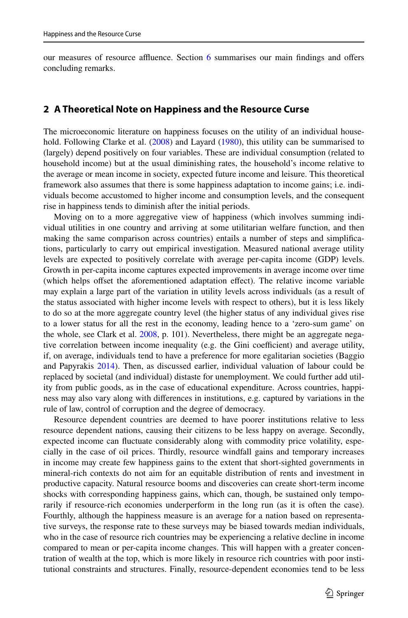our measures of resource affluence. Section [6](#page-20-0) summarises our main findings and offers concluding remarks.

#### <span id="page-3-0"></span>**2 A Theoretical Note on Happiness and the Resource Curse**

The microeconomic literature on happiness focuses on the utility of an individual house-hold. Following Clarke et al. ([2008\)](#page-26-6) and Layard [\(1980](#page-27-8)), this utility can be summarised to (largely) depend positively on four variables. These are individual consumption (related to household income) but at the usual diminishing rates, the household's income relative to the average or mean income in society, expected future income and leisure. This theoretical framework also assumes that there is some happiness adaptation to income gains; i.e. individuals become accustomed to higher income and consumption levels, and the consequent rise in happiness tends to diminish after the initial periods.

Moving on to a more aggregative view of happiness (which involves summing individual utilities in one country and arriving at some utilitarian welfare function, and then making the same comparison across countries) entails a number of steps and simplifcations, particularly to carry out empirical investigation. Measured national average utility levels are expected to positively correlate with average per-capita income (GDP) levels. Growth in per-capita income captures expected improvements in average income over time (which helps ofset the aforementioned adaptation efect). The relative income variable may explain a large part of the variation in utility levels across individuals (as a result of the status associated with higher income levels with respect to others), but it is less likely to do so at the more aggregate country level (the higher status of any individual gives rise to a lower status for all the rest in the economy, leading hence to a 'zero-sum game' on the whole, see Clark et al. [2008](#page-26-6), p. 101). Nevertheless, there might be an aggregate negative correlation between income inequality (e.g. the Gini coefficient) and average utility, if, on average, individuals tend to have a preference for more egalitarian societies (Baggio and Papyrakis [2014\)](#page-26-11). Then, as discussed earlier, individual valuation of labour could be replaced by societal (and individual) distaste for unemployment. We could further add utility from public goods, as in the case of educational expenditure. Across countries, happiness may also vary along with diferences in institutions, e.g. captured by variations in the rule of law, control of corruption and the degree of democracy.

Resource dependent countries are deemed to have poorer institutions relative to less resource dependent nations, causing their citizens to be less happy on average. Secondly, expected income can fuctuate considerably along with commodity price volatility, especially in the case of oil prices. Thirdly, resource windfall gains and temporary increases in income may create few happiness gains to the extent that short-sighted governments in mineral-rich contexts do not aim for an equitable distribution of rents and investment in productive capacity. Natural resource booms and discoveries can create short-term income shocks with corresponding happiness gains, which can, though, be sustained only temporarily if resource-rich economies underperform in the long run (as it is often the case). Fourthly, although the happiness measure is an average for a nation based on representative surveys, the response rate to these surveys may be biased towards median individuals, who in the case of resource rich countries may be experiencing a relative decline in income compared to mean or per-capita income changes. This will happen with a greater concentration of wealth at the top, which is more likely in resource rich countries with poor institutional constraints and structures. Finally, resource-dependent economies tend to be less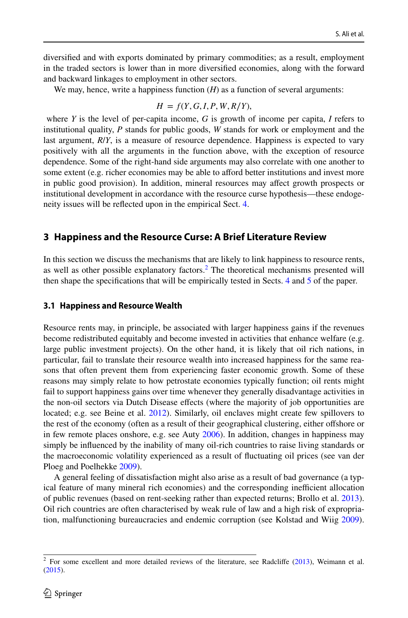diversifed and with exports dominated by primary commodities; as a result, employment in the traded sectors is lower than in more diversifed economies, along with the forward and backward linkages to employment in other sectors.

We may, hence, write a happiness function  $(H)$  as a function of several arguments:

$$
H = f(Y, G, I, P, W, R/Y),
$$

 where *Y* is the level of per-capita income, *G* is growth of income per capita, *I* refers to institutional quality, *P* stands for public goods, *W* stands for work or employment and the last argument, *R*/*Y*, is a measure of resource dependence. Happiness is expected to vary positively with all the arguments in the function above, with the exception of resource dependence. Some of the right-hand side arguments may also correlate with one another to some extent (e.g. richer economies may be able to aford better institutions and invest more in public good provision). In addition, mineral resources may afect growth prospects or institutional development in accordance with the resource curse hypothesis—these endogeneity issues will be refected upon in the empirical Sect. [4](#page-7-0).

#### <span id="page-4-0"></span>**3 Happiness and the Resource Curse: A Brief Literature Review**

In this section we discuss the mechanisms that are likely to link happiness to resource rents, as well as other possible explanatory factors.<sup>[2](#page-4-1)</sup> The theoretical mechanisms presented will then shape the specifcations that will be empirically tested in Sects. [4](#page-7-0) and [5](#page-15-0) of the paper.

#### **3.1 Happiness and Resource Wealth**

Resource rents may, in principle, be associated with larger happiness gains if the revenues become redistributed equitably and become invested in activities that enhance welfare (e.g. large public investment projects). On the other hand, it is likely that oil rich nations, in particular, fail to translate their resource wealth into increased happiness for the same reasons that often prevent them from experiencing faster economic growth. Some of these reasons may simply relate to how petrostate economies typically function; oil rents might fail to support happiness gains over time whenever they generally disadvantage activities in the non-oil sectors via Dutch Disease efects (where the majority of job opportunities are located; e.g. see Beine et al. [2012](#page-26-12)). Similarly, oil enclaves might create few spillovers to the rest of the economy (often as a result of their geographical clustering, either ofshore or in few remote places onshore, e.g. see Auty [2006](#page-26-13)). In addition, changes in happiness may simply be infuenced by the inability of many oil-rich countries to raise living standards or the macroeconomic volatility experienced as a result of fuctuating oil prices (see van der Ploeg and Poelhekke [2009\)](#page-28-5).

A general feeling of dissatisfaction might also arise as a result of bad governance (a typical feature of many mineral rich economies) and the corresponding inefficient allocation of public revenues (based on rent-seeking rather than expected returns; Brollo et al. [2013](#page-26-14)). Oil rich countries are often characterised by weak rule of law and a high risk of expropriation, malfunctioning bureaucracies and endemic corruption (see Kolstad and Wiig [2009](#page-27-9)).

<span id="page-4-1"></span> $2$  For some excellent and more detailed reviews of the literature, see Radcliffe ([2013\)](#page-28-6), Weimann et al. [\(2015](#page-28-7)).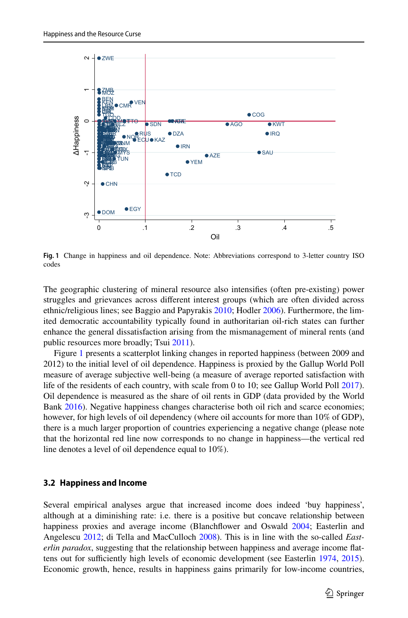

<span id="page-5-0"></span>**Fig. 1** Change in happiness and oil dependence. Note: Abbreviations correspond to 3-letter country ISO codes

The geographic clustering of mineral resource also intensifes (often pre-existing) power struggles and grievances across diferent interest groups (which are often divided across ethnic/religious lines; see Baggio and Papyrakis [2010;](#page-26-0) Hodler [2006](#page-27-10)). Furthermore, the limited democratic accountability typically found in authoritarian oil-rich states can further enhance the general dissatisfaction arising from the mismanagement of mineral rents (and public resources more broadly; Tsui [2011\)](#page-28-8).

Figure [1](#page-5-0) presents a scatterplot linking changes in reported happiness (between 2009 and 2012) to the initial level of oil dependence. Happiness is proxied by the Gallup World Poll measure of average subjective well-being (a measure of average reported satisfaction with life of the residents of each country, with scale from 0 to 10; see Gallup World Poll [2017](#page-27-11)). Oil dependence is measured as the share of oil rents in GDP (data provided by the World Bank [2016\)](#page-28-9). Negative happiness changes characterise both oil rich and scarce economies; however, for high levels of oil dependency (where oil accounts for more than 10% of GDP), there is a much larger proportion of countries experiencing a negative change (please note that the horizontal red line now corresponds to no change in happiness—the vertical red line denotes a level of oil dependence equal to 10%).

#### **3.2 Happiness and Income**

Several empirical analyses argue that increased income does indeed 'buy happiness', although at a diminishing rate: i.e. there is a positive but concave relationship between happiness proxies and average income (Blanchflower and Oswald [2004;](#page-26-7) Easterlin and Angelescu [2012;](#page-27-2) di Tella and MacCulloch [2008\)](#page-26-8). This is in line with the so-called *Easterlin paradox*, suggesting that the relationship between happiness and average income fat-tens out for sufficiently high levels of economic development (see Easterlin [1974](#page-27-12), [2015](#page-27-13)). Economic growth, hence, results in happiness gains primarily for low-income countries,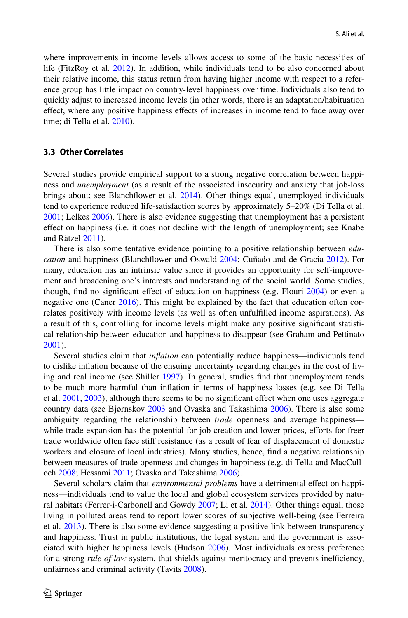where improvements in income levels allows access to some of the basic necessities of life (FitzRoy et al. [2012\)](#page-27-14). In addition, while individuals tend to be also concerned about their relative income, this status return from having higher income with respect to a reference group has little impact on country-level happiness over time. Individuals also tend to quickly adjust to increased income levels (in other words, there is an adaptation/habituation efect, where any positive happiness efects of increases in income tend to fade away over time; di Tella et al. [2010\)](#page-26-15).

#### **3.3 Other Correlates**

Several studies provide empirical support to a strong negative correlation between happiness and *unemployment* (as a result of the associated insecurity and anxiety that job-loss brings about; see Blanchfower et al. [2014](#page-26-16)). Other things equal, unemployed individuals tend to experience reduced life-satisfaction scores by approximately 5–20% (Di Tella et al. [2001;](#page-26-9) Lelkes [2006](#page-27-15)). There is also evidence suggesting that unemployment has a persistent efect on happiness (i.e. it does not decline with the length of unemployment; see Knabe and Rätzel [2011](#page-27-16)).

There is also some tentative evidence pointing to a positive relationship between *education* and happiness (Blanchfower and Oswald [2004;](#page-26-7) Cuñado and de Gracia [2012\)](#page-26-17). For many, education has an intrinsic value since it provides an opportunity for self-improvement and broadening one's interests and understanding of the social world. Some studies, though, find no significant effect of education on happiness (e.g. Flouri  $2004$ ) or even a negative one (Caner [2016\)](#page-26-10). This might be explained by the fact that education often correlates positively with income levels (as well as often unfulflled income aspirations). As a result of this, controlling for income levels might make any positive signifcant statistical relationship between education and happiness to disappear (see Graham and Pettinato [2001\)](#page-27-18).

Several studies claim that *infation* can potentially reduce happiness—individuals tend to dislike infation because of the ensuing uncertainty regarding changes in the cost of living and real income (see Shiller [1997\)](#page-28-10). In general, studies fnd that unemployment tends to be much more harmful than infation in terms of happiness losses (e.g. see Di Tella et al. [2001](#page-26-9), [2003](#page-27-19)), although there seems to be no signifcant efect when one uses aggregate country data (see Bjørnskov [2003](#page-26-18) and Ovaska and Takashima [2006](#page-28-11)). There is also some ambiguity regarding the relationship between *trade* openness and average happiness while trade expansion has the potential for job creation and lower prices, efforts for freer trade worldwide often face stif resistance (as a result of fear of displacement of domestic workers and closure of local industries). Many studies, hence, fnd a negative relationship between measures of trade openness and changes in happiness (e.g. di Tella and MacCulloch [2008;](#page-26-8) Hessami [2011;](#page-27-3) Ovaska and Takashima [2006](#page-28-11)).

Several scholars claim that *environmental problems* have a detrimental efect on happiness—individuals tend to value the local and global ecosystem services provided by natural habitats (Ferrer-i-Carbonell and Gowdy [2007](#page-27-4); Li et al. [2014\)](#page-27-20). Other things equal, those living in polluted areas tend to report lower scores of subjective well-being (see Ferreira et al. [2013\)](#page-27-21). There is also some evidence suggesting a positive link between transparency and happiness. Trust in public institutions, the legal system and the government is associated with higher happiness levels (Hudson [2006](#page-27-22)). Most individuals express preference for a strong *rule of law* system, that shields against meritocracy and prevents inefficiency, unfairness and criminal activity (Tavits [2008\)](#page-28-12).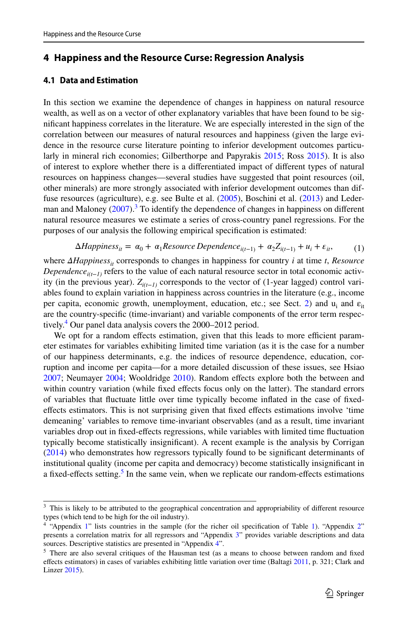#### <span id="page-7-0"></span>**4 Happiness and the Resource Curse: Regression Analysis**

#### **4.1 Data and Estimation**

In this section we examine the dependence of changes in happiness on natural resource wealth, as well as on a vector of other explanatory variables that have been found to be signifcant happiness correlates in the literature. We are especially interested in the sign of the correlation between our measures of natural resources and happiness (given the large evidence in the resource curse literature pointing to inferior development outcomes particularly in mineral rich economies; Gilberthorpe and Papyrakis [2015](#page-27-23); Ross [2015\)](#page-28-13). It is also of interest to explore whether there is a diferentiated impact of diferent types of natural resources on happiness changes—several studies have suggested that point resources (oil, other minerals) are more strongly associated with inferior development outcomes than diffuse resources (agriculture), e.g. see Bulte et al. [\(2005](#page-26-1)), Boschini et al. ([2013\)](#page-26-19) and Leder-man and Maloney ([2007\)](#page-27-24).<sup>3</sup> To identify the dependence of changes in happiness on different natural resource measures we estimate a series of cross-country panel regressions. For the purposes of our analysis the following empirical specifcation is estimated:

$$
\Delta Happiness_{it} = \alpha_0 + \alpha_1 Resource Dependence_{i(t-1)} + \alpha_2 Z_{i(t-1)} + u_i + \varepsilon_{it},
$$
 (1)

where *ΔHappiness<sub>it</sub>* corresponds to changes in happiness for country *i* at time *t*, *Resource Dependence*<sub> $i(t-1)$ </sub> refers to the value of each natural resource sector in total economic activity (in the previous year).  $Z_{i(t-1)}$  corresponds to the vector of (1-year lagged) control variables found to explain variation in happiness across countries in the literature (e.g., income per capita, economic growth, unemployment, education, etc.; see Sect. [2\)](#page-3-0) and  $u_i$  and  $\varepsilon_{i}$ are the country-specifc (time-invariant) and variable components of the error term respec-tively.<sup>[4](#page-7-2)</sup> Our panel data analysis covers the 2000–2012 period.

We opt for a random effects estimation, given that this leads to more efficient parameter estimates for variables exhibiting limited time variation (as it is the case for a number of our happiness determinants, e.g. the indices of resource dependence, education, corruption and income per capita—for a more detailed discussion of these issues, see Hsiao [2007;](#page-27-25) Neumayer [2004;](#page-28-14) Wooldridge [2010\)](#page-28-15). Random effects explore both the between and within country variation (while fxed efects focus only on the latter). The standard errors of variables that fuctuate little over time typically become infated in the case of fxedefects estimators. This is not surprising given that fxed efects estimations involve 'time demeaning' variables to remove time-invariant observables (and as a result, time invariant variables drop out in fxed-efects regressions, while variables with limited time fuctuation typically become statistically insignifcant). A recent example is the analysis by Corrigan ([2014\)](#page-26-20) who demonstrates how regressors typically found to be signifcant determinants of institutional quality (income per capita and democracy) become statistically insignifcant in a fixed-effects setting.<sup>5</sup> In the same vein, when we replicate our random-effects estimations

<span id="page-7-1"></span><sup>&</sup>lt;sup>3</sup> This is likely to be attributed to the geographical concentration and appropriability of different resource types (which tend to be high for the oil industry).

<span id="page-7-2"></span><sup>&</sup>lt;sup>4</sup> "Appendix [1](#page-21-0)" lists countries in the sample (for the richer oil specification of Table [1\)](#page-8-0). "Appendix [2](#page-22-0)" presents a correlation matrix for all regressors and "Appendix [3"](#page-24-0) provides variable descriptions and data sources. Descriptive statistics are presented in "Appendix [4](#page-25-0)".

<span id="page-7-3"></span><sup>&</sup>lt;sup>5</sup> There are also several critiques of the Hausman test (as a means to choose between random and fixed efects estimators) in cases of variables exhibiting little variation over time (Baltagi [2011,](#page-26-21) p. 321; Clark and Linzer [2015\)](#page-26-22).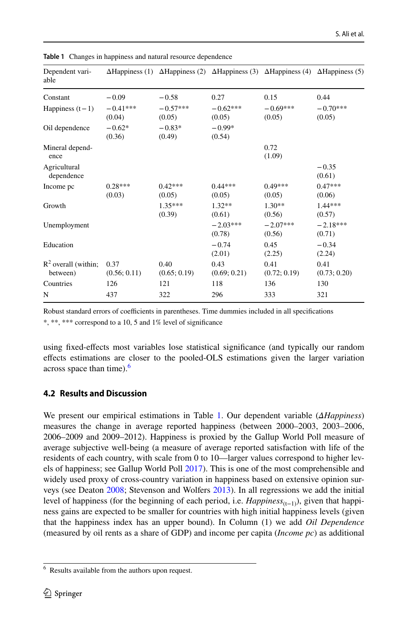| Dependent vari-<br>able                     |                      | $\Delta$ Happiness (1) $\Delta$ Happiness (2) $\Delta$ Happiness (3) $\Delta$ Happiness (4) $\Delta$ Happiness (5) |                      |                      |                      |
|---------------------------------------------|----------------------|--------------------------------------------------------------------------------------------------------------------|----------------------|----------------------|----------------------|
| Constant                                    | $-0.09$              | $-0.58$                                                                                                            | 0.27                 | 0.15                 | 0.44                 |
| Happiness $(t-1)$                           | $-0.41***$<br>(0.04) | $-0.57***$<br>(0.05)                                                                                               | $-0.62***$<br>(0.05) | $-0.69***$<br>(0.05) | $-0.70***$<br>(0.05) |
| Oil dependence                              | $-0.62*$<br>(0.36)   | $-0.83*$<br>(0.49)                                                                                                 | $-0.99*$<br>(0.54)   |                      |                      |
| Mineral depend-<br>ence                     |                      |                                                                                                                    |                      | 0.72<br>(1.09)       |                      |
| Agricultural<br>dependence                  |                      |                                                                                                                    |                      |                      | $-0.35$<br>(0.61)    |
| Income pc                                   | $0.28***$<br>(0.03)  | $0.42***$<br>(0.05)                                                                                                | $0.44***$<br>(0.05)  | $0.49***$<br>(0.05)  | $0.47***$<br>(0.06)  |
| Growth                                      |                      | $1.35***$<br>(0.39)                                                                                                | $1.32**$<br>(0.61)   | $1.30**$<br>(0.56)   | $1.44***$<br>(0.57)  |
| Unemployment                                |                      |                                                                                                                    | $-2.03***$<br>(0.78) | $-2.07***$<br>(0.56) | $-2.18***$<br>(0.71) |
| Education                                   |                      |                                                                                                                    | $-0.74$<br>(2.01)    | 0.45<br>(2.25)       | $-0.34$<br>(2.24)    |
| $\mathbb{R}^2$ overall (within;<br>between) | 0.37<br>(0.56; 0.11) | 0.40<br>(0.65; 0.19)                                                                                               | 0.43<br>(0.69; 0.21) | 0.41<br>(0.72; 0.19) | 0.41<br>(0.73; 0.20) |
| Countries                                   | 126                  | 121                                                                                                                | 118                  | 136                  | 130                  |
| N                                           | 437                  | 322                                                                                                                | 296                  | 333                  | 321                  |

<span id="page-8-0"></span>**Table 1** Changes in happiness and natural resource dependence

Robust standard errors of coefficients in parentheses. Time dummies included in all specifications

\*, \*\*, \*\*\* correspond to a 10, 5 and 1% level of signifcance

using fxed-efects most variables lose statistical signifcance (and typically our random efects estimations are closer to the pooled-OLS estimations given the larger variation across space than time).<sup>[6](#page-8-1)</sup>

#### **4.2 Results and Discussion**

We present our empirical estimations in Table [1](#page-8-0). Our dependent variable (*ΔHappiness*) measures the change in average reported happiness (between 2000–2003, 2003–2006, 2006–2009 and 2009–2012). Happiness is proxied by the Gallup World Poll measure of average subjective well-being (a measure of average reported satisfaction with life of the residents of each country, with scale from 0 to 10—larger values correspond to higher levels of happiness; see Gallup World Poll [2017](#page-27-11)). This is one of the most comprehensible and widely used proxy of cross-country variation in happiness based on extensive opinion surveys (see Deaton [2008;](#page-26-23) Stevenson and Wolfers [2013\)](#page-28-16). In all regressions we add the initial level of happiness (for the beginning of each period, i.e. *Happiness*(t−1)), given that happiness gains are expected to be smaller for countries with high initial happiness levels (given that the happiness index has an upper bound). In Column (1) we add *Oil Dependence* (measured by oil rents as a share of GDP) and income per capita (*Income pc*) as additional

<span id="page-8-1"></span>Results available from the authors upon request.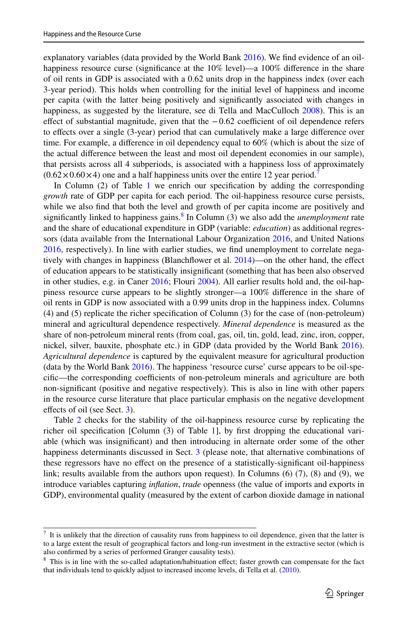explanatory variables (data provided by the World Bank [2016](#page-28-9)). We find evidence of an oilhappiness resource curse (significance at the 10% level)—a 100% difference in the share of oil rents in GDP is associated with a 0.62 units drop in the happiness index (over each 3-year period). This holds when controlling for the initial level of happiness and income per capita (with the latter being positively and signifcantly associated with changes in happiness, as suggested by the literature, see di Tella and MacCulloch [2008\)](#page-26-8). This is an effect of substantial magnitude, given that the −0.62 coefficient of oil dependence refers to efects over a single (3-year) period that can cumulatively make a large diference over time. For example, a diference in oil dependency equal to 60% (which is about the size of the actual diference between the least and most oil dependent economies in our sample), that persists across all 4 subperiods, is associated with a happiness loss of approximately  $(0.62\times0.60\times4)$  one and a half happiness units over the entire 12 year period.<sup>7</sup>

In Column  $(2)$  of Table [1](#page-8-0) we enrich our specification by adding the corresponding *growth* rate of GDP per capita for each period. The oil-happiness resource curse persists, while we also fnd that both the level and growth of per capita income are positively and significantly linked to happiness gains.<sup>[8](#page-9-1)</sup> In Column (3) we also add the *unemployment* rate and the share of educational expenditure in GDP (variable: *education*) as additional regres-sors (data available from the International Labour Organization [2016,](#page-27-26) and United Nations [2016,](#page-28-17) respectively). In line with earlier studies, we fnd unemployment to correlate negatively with changes in happiness (Blanchfower et al. [2014\)](#page-26-16)—on the other hand, the efect of education appears to be statistically insignifcant (something that has been also observed in other studies, e.g. in Caner [2016;](#page-26-10) Flouri [2004](#page-27-17)). All earlier results hold and, the oil-happiness resource curse appears to be slightly stronger—a 100% diference in the share of oil rents in GDP is now associated with a 0.99 units drop in the happiness index. Columns (4) and (5) replicate the richer specifcation of Column (3) for the case of (non-petroleum) mineral and agricultural dependence respectively. *Mineral dependence* is measured as the share of non-petroleum mineral rents (from coal, gas, oil, tin, gold, lead, zinc, iron, copper, nickel, silver, bauxite, phosphate etc.) in GDP (data provided by the World Bank [2016](#page-28-9)). *Agricultural dependence* is captured by the equivalent measure for agricultural production (data by the World Bank [2016](#page-28-9)). The happiness 'resource curse' curse appears to be oil-specific—the corresponding coefficients of non-petroleum minerals and agriculture are both non-signifcant (positive and negative respectively). This is also in line with other papers in the resource curse literature that place particular emphasis on the negative development effects of oil (see Sect. [3](#page-4-0)).

Table [2](#page-10-0) checks for the stability of the oil-happiness resource curse by replicating the richer oil specifcation [Column (3) of Table [1\]](#page-8-0), by frst dropping the educational variable (which was insignifcant) and then introducing in alternate order some of the other happiness determinants discussed in Sect. [3](#page-4-0) (please note, that alternative combinations of these regressors have no efect on the presence of a statistically-signifcant oil-happiness link; results available from the authors upon request). In Columns  $(6)$   $(7)$ ,  $(8)$  and  $(9)$ , we introduce variables capturing *infation*, *trade* openness (the value of imports and exports in GDP), environmental quality (measured by the extent of carbon dioxide damage in national

<span id="page-9-0"></span> $<sup>7</sup>$  It is unlikely that the direction of causality runs from happiness to oil dependence, given that the latter is</sup> to a large extent the result of geographical factors and long-run investment in the extractive sector (which is also confrmed by a series of performed Granger causality tests).

<span id="page-9-1"></span><sup>&</sup>lt;sup>8</sup> This is in line with the so-called adaptation/habituation effect; faster growth can compensate for the fact that individuals tend to quickly adjust to increased income levels, di Tella et al. ([2010\)](#page-26-15).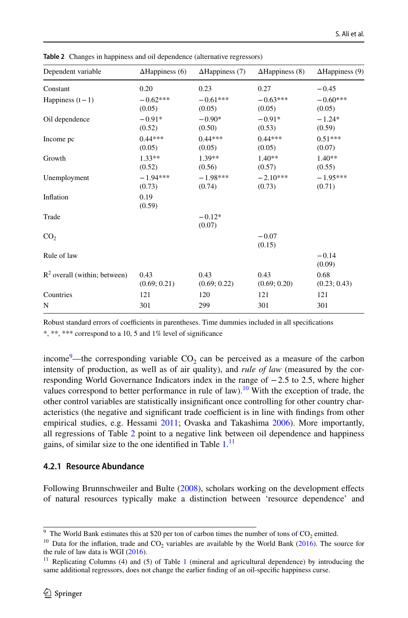| Dependent variable             | $\Delta$ Happiness (6) | $\Delta$ Happiness (7) | $\Delta$ Happiness (8) | $\Delta$ Happiness (9) |
|--------------------------------|------------------------|------------------------|------------------------|------------------------|
| Constant                       | 0.20                   | 0.23                   | 0.27                   | $-0.45$                |
| Happiness $(t-1)$              | $-0.62***$<br>(0.05)   | $-0.61***$<br>(0.05)   | $-0.63***$<br>(0.05)   | $-0.60***$<br>(0.05)   |
| Oil dependence                 | $-0.91*$<br>(0.52)     | $-0.90*$<br>(0.50)     | $-0.91*$<br>(0.53)     | $-1.24*$<br>(0.59)     |
| Income pc                      | $0.44***$<br>(0.05)    | $0.44***$<br>(0.05)    | $0.44***$<br>(0.05)    | $0.51***$<br>(0.07)    |
| Growth                         | $1.33**$<br>(0.52)     | $1.39**$<br>(0.56)     | $1.40**$<br>(0.57)     | $1.40**$<br>(0.55)     |
| Unemployment                   | $-1.94***$<br>(0.73)   | $-1.98***$<br>(0.74)   | $-2.10***$<br>(0.73)   | $-1.95***$<br>(0.71)   |
| Inflation                      | 0.19<br>(0.59)         |                        |                        |                        |
| Trade                          |                        | $-0.12*$<br>(0.07)     |                        |                        |
| CO <sub>2</sub>                |                        |                        | $-0.07$<br>(0.15)      |                        |
| Rule of law                    |                        |                        |                        | $-0.14$<br>(0.09)      |
| $R2$ overall (within; between) | 0.43<br>(0.69; 0.21)   | 0.43<br>(0.69; 0.22)   | 0.43<br>(0.69; 0.20)   | 0.68<br>(0.23; 0.43)   |
| Countries                      | 121                    | 120                    | 121                    | 121                    |
| N                              | 301                    | 299                    | 301                    | 301                    |

<span id="page-10-0"></span>**Table 2** Changes in happiness and oil dependence (alternative regressors)

Robust standard errors of coefficients in parentheses. Time dummies included in all specifications

\*, \*\*, \*\*\* correspond to a 10, 5 and 1% level of signifcance

income<sup>[9](#page-10-1)</sup>—the corresponding variable  $CO_2$  can be perceived as a measure of the carbon intensity of production, as well as of air quality), and *rule of law* (measured by the corresponding World Governance Indicators index in the range of −2.5 to 2.5, where higher values correspond to better performance in rule of law).<sup>[10](#page-10-2)</sup> With the exception of trade, the other control variables are statistically insignifcant once controlling for other country characteristics (the negative and significant trade coefficient is in line with findings from other empirical studies, e.g. Hessami [2011](#page-27-3); Ovaska and Takashima [2006\)](#page-28-11). More importantly, all regressions of Table [2](#page-10-0) point to a negative link between oil dependence and happiness gains, of similar size to the one identified in Table  $1<sup>11</sup>$  $1<sup>11</sup>$  $1<sup>11</sup>$ 

#### **4.2.1 Resource Abundance**

Following Brunnschweiler and Bulte [\(2008](#page-26-24)), scholars working on the development effects of natural resources typically make a distinction between 'resource dependence' and

<span id="page-10-2"></span>

<span id="page-10-1"></span><sup>&</sup>lt;sup>9</sup> The World Bank estimates this at \$20 per ton of carbon times the number of tons of CO<sub>2</sub> emitted. <sup>10</sup> Data for the inflation, trade and CO<sub>2</sub> variables are available by the World Bank ([2016\)](#page-28-9). The source for the rule of law data is WGI  $(2016)$  $(2016)$ .

<span id="page-10-3"></span><sup>&</sup>lt;sup>[1](#page-8-0)1</sup> Replicating Columns (4) and (5) of Table 1 (mineral and agricultural dependence) by introducing the same additional regressors, does not change the earlier fnding of an oil-specifc happiness curse.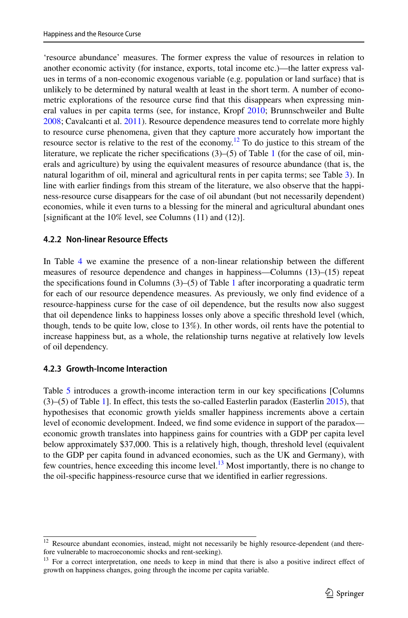'resource abundance' measures. The former express the value of resources in relation to another economic activity (for instance, exports, total income etc.)—the latter express values in terms of a non-economic exogenous variable (e.g. population or land surface) that is unlikely to be determined by natural wealth at least in the short term. A number of econometric explorations of the resource curse fnd that this disappears when expressing mineral values in per capita terms (see, for instance, Kropf [2010;](#page-27-27) Brunnschweiler and Bulte [2008;](#page-26-24) Cavalcanti et al. [2011\)](#page-26-25). Resource dependence measures tend to correlate more highly to resource curse phenomena, given that they capture more accurately how important the resource sector is relative to the rest of the economy.<sup>[12](#page-11-0)</sup> To do justice to this stream of the literature, we replicate the richer specifications  $(3)$ – $(5)$  of Table [1](#page-8-0) (for the case of oil, minerals and agriculture) by using the equivalent measures of resource abundance (that is, the natural logarithm of oil, mineral and agricultural rents in per capita terms; see Table [3\)](#page-13-0). In line with earlier fndings from this stream of the literature, we also observe that the happiness-resource curse disappears for the case of oil abundant (but not necessarily dependent) economies, while it even turns to a blessing for the mineral and agricultural abundant ones [signifcant at the 10% level, see Columns (11) and (12)].

#### **4.2.2 Non‑linear Resource Efects**

In Table [4](#page-14-0) we examine the presence of a non-linear relationship between the diferent measures of resource dependence and changes in happiness—Columns (13)–(15) repeat the specifications found in Columns  $(3)$ – $(5)$  of Table [1](#page-8-0) after incorporating a quadratic term for each of our resource dependence measures. As previously, we only fnd evidence of a resource-happiness curse for the case of oil dependence, but the results now also suggest that oil dependence links to happiness losses only above a specifc threshold level (which, though, tends to be quite low, close to 13%). In other words, oil rents have the potential to increase happiness but, as a whole, the relationship turns negative at relatively low levels of oil dependency.

#### **4.2.3 Growth‑Income Interaction**

Table [5](#page-15-1) introduces a growth-income interaction term in our key specifcations [Columns (3)–(5) of Table [1](#page-8-0)]. In efect, this tests the so-called Easterlin paradox (Easterlin [2015](#page-27-13)), that hypothesises that economic growth yields smaller happiness increments above a certain level of economic development. Indeed, we fnd some evidence in support of the paradox economic growth translates into happiness gains for countries with a GDP per capita level below approximately \$37,000. This is a relatively high, though, threshold level (equivalent to the GDP per capita found in advanced economies, such as the UK and Germany), with few countries, hence exceeding this income level.<sup>[13](#page-11-1)</sup> Most importantly, there is no change to the oil-specifc happiness-resource curse that we identifed in earlier regressions.

<span id="page-11-0"></span><sup>&</sup>lt;sup>12</sup> Resource abundant economies, instead, might not necessarily be highly resource-dependent (and therefore vulnerable to macroeconomic shocks and rent-seeking).

<span id="page-11-1"></span><sup>&</sup>lt;sup>13</sup> For a correct interpretation, one needs to keep in mind that there is also a positive indirect effect of growth on happiness changes, going through the income per capita variable.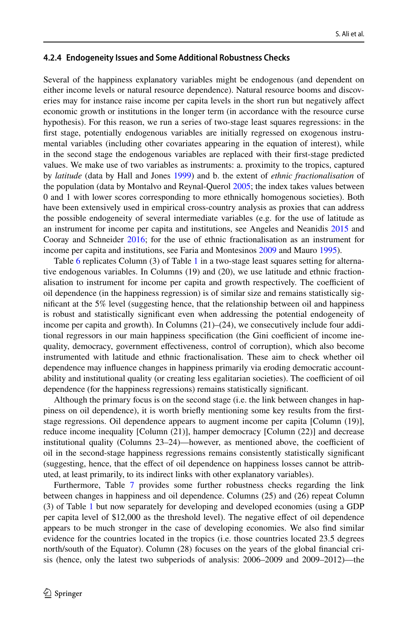#### **4.2.4 Endogeneity Issues and Some Additional Robustness Checks**

Several of the happiness explanatory variables might be endogenous (and dependent on either income levels or natural resource dependence). Natural resource booms and discoveries may for instance raise income per capita levels in the short run but negatively afect economic growth or institutions in the longer term (in accordance with the resource curse hypothesis). For this reason, we run a series of two-stage least squares regressions: in the frst stage, potentially endogenous variables are initially regressed on exogenous instrumental variables (including other covariates appearing in the equation of interest), while in the second stage the endogenous variables are replaced with their frst-stage predicted values. We make use of two variables as instruments: a. proximity to the tropics, captured by *latitude* (data by Hall and Jones [1999](#page-27-28)) and b. the extent of *ethnic fractionalisation* of the population (data by Montalvo and Reynal-Querol [2005](#page-27-29); the index takes values between 0 and 1 with lower scores corresponding to more ethnically homogenous societies). Both have been extensively used in empirical cross-country analysis as proxies that can address the possible endogeneity of several intermediate variables (e.g. for the use of latitude as an instrument for income per capita and institutions, see Angeles and Neanidis [2015](#page-26-26) and Cooray and Schneider [2016](#page-26-27); for the use of ethnic fractionalisation as an instrument for income per capita and institutions, see Faria and Montesinos [2009](#page-27-30) and Mauro [1995](#page-27-31)).

Table [6](#page-16-0) replicates Column (3) of Table [1](#page-8-0) in a two-stage least squares setting for alternative endogenous variables. In Columns (19) and (20), we use latitude and ethnic fractionalisation to instrument for income per capita and growth respectively. The coefficient of oil dependence (in the happiness regression) is of similar size and remains statistically signifcant at the 5% level (suggesting hence, that the relationship between oil and happiness is robust and statistically signifcant even when addressing the potential endogeneity of income per capita and growth). In Columns (21)–(24), we consecutively include four additional regressors in our main happiness specification (the Gini coefficient of income inequality, democracy, government efectiveness, control of corruption), which also become instrumented with latitude and ethnic fractionalisation. These aim to check whether oil dependence may infuence changes in happiness primarily via eroding democratic accountability and institutional quality (or creating less egalitarian societies). The coefficient of oil dependence (for the happiness regressions) remains statistically signifcant.

Although the primary focus is on the second stage (i.e. the link between changes in happiness on oil dependence), it is worth briefy mentioning some key results from the frststage regressions. Oil dependence appears to augment income per capita [Column (19)], reduce income inequality [Column (21)], hamper democracy [Column (22)] and decrease institutional quality (Columns  $23-24$ )—however, as mentioned above, the coefficient of oil in the second-stage happiness regressions remains consistently statistically signifcant (suggesting, hence, that the efect of oil dependence on happiness losses cannot be attributed, at least primarily, to its indirect links with other explanatory variables).

Furthermore, Table [7](#page-18-0) provides some further robustness checks regarding the link between changes in happiness and oil dependence. Columns (25) and (26) repeat Column (3) of Table [1](#page-8-0) but now separately for developing and developed economies (using a GDP per capita level of \$12,000 as the threshold level). The negative efect of oil dependence appears to be much stronger in the case of developing economies. We also fnd similar evidence for the countries located in the tropics (i.e. those countries located 23.5 degrees north/south of the Equator). Column (28) focuses on the years of the global fnancial crisis (hence, only the latest two subperiods of analysis: 2006–2009 and 2009–2012)—the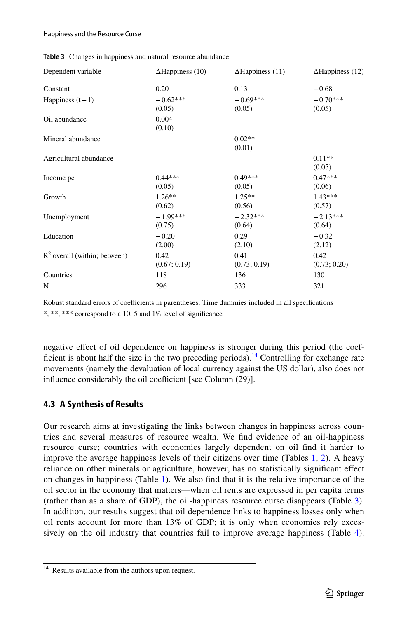| Dependent variable             | $\Delta$ Happiness (10) | $\Delta$ Happiness (11) | $\Delta$ Happiness (12) |
|--------------------------------|-------------------------|-------------------------|-------------------------|
| Constant                       | 0.20                    | 0.13                    | $-0.68$                 |
| Happiness $(t-1)$              | $-0.62***$<br>(0.05)    | $-0.69***$<br>(0.05)    | $-0.70***$<br>(0.05)    |
| Oil abundance                  | 0.004<br>(0.10)         |                         |                         |
| Mineral abundance              |                         | $0.02**$<br>(0.01)      |                         |
| Agricultural abundance         |                         |                         | $0.11**$<br>(0.05)      |
| Income pc                      | $0.44***$<br>(0.05)     | $0.49***$<br>(0.05)     | $0.47***$<br>(0.06)     |
| Growth                         | $1.26**$<br>(0.62)      | $1.25**$<br>(0.56)      | $1.43***$<br>(0.57)     |
| Unemployment                   | $-1.99***$<br>(0.75)    | $-2.32***$<br>(0.64)    | $-2.13***$<br>(0.64)    |
| Education                      | $-0.20$<br>(2.00)       | 0.29<br>(2.10)          | $-0.32$<br>(2.12)       |
| $R2$ overall (within; between) | 0.42<br>(0.67; 0.19)    | 0.41<br>(0.73; 0.19)    | 0.42<br>(0.73; 0.20)    |
| Countries                      | 118                     | 136                     | 130                     |
| N                              | 296                     | 333                     | 321                     |

<span id="page-13-0"></span>**Table 3** Changes in happiness and natural resource abundance

Robust standard errors of coefficients in parentheses. Time dummies included in all specifications

\*, \*\*, \*\*\* correspond to a 10, 5 and 1% level of signifcance

negative efect of oil dependence on happiness is stronger during this period (the coefficient is about half the size in the two preceding periods).<sup>14</sup> Controlling for exchange rate movements (namely the devaluation of local currency against the US dollar), also does not influence considerably the oil coefficient [see Column (29)].

#### **4.3 A Synthesis of Results**

Our research aims at investigating the links between changes in happiness across countries and several measures of resource wealth. We fnd evidence of an oil-happiness resource curse; countries with economies largely dependent on oil fnd it harder to improve the average happiness levels of their citizens over time (Tables [1](#page-8-0), [2\)](#page-10-0). A heavy reliance on other minerals or agriculture, however, has no statistically signifcant efect on changes in happiness (Table [1\)](#page-8-0). We also fnd that it is the relative importance of the oil sector in the economy that matters—when oil rents are expressed in per capita terms (rather than as a share of GDP), the oil-happiness resource curse disappears (Table [3\)](#page-13-0). In addition, our results suggest that oil dependence links to happiness losses only when oil rents account for more than 13% of GDP; it is only when economies rely excessively on the oil industry that countries fail to improve average happiness (Table [4\)](#page-14-0).

<span id="page-13-1"></span><sup>&</sup>lt;sup>14</sup> Results available from the authors upon request.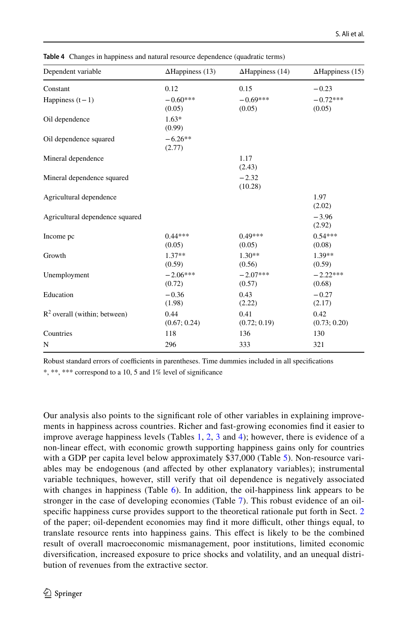| Dependent variable              | $\Delta$ Happiness (13) | $\Delta$ Happiness (14) | $\Delta$ Happiness (15) |
|---------------------------------|-------------------------|-------------------------|-------------------------|
| Constant                        | 0.12                    | 0.15                    | $-0.23$                 |
| Happiness $(t-1)$               | $-0.60***$<br>(0.05)    | $-0.69***$<br>(0.05)    | $-0.72***$<br>(0.05)    |
| Oil dependence                  | $1.63*$<br>(0.99)       |                         |                         |
| Oil dependence squared          | $-6.26**$<br>(2.77)     |                         |                         |
| Mineral dependence              |                         | 1.17<br>(2.43)          |                         |
| Mineral dependence squared      |                         | $-2.32$<br>(10.28)      |                         |
| Agricultural dependence         |                         |                         | 1.97<br>(2.02)          |
| Agricultural dependence squared |                         |                         | $-3.96$<br>(2.92)       |
| Income pc                       | $0.44***$<br>(0.05)     | $0.49***$<br>(0.05)     | $0.54***$<br>(0.08)     |
| Growth                          | $1.37**$<br>(0.59)      | $1.30**$<br>(0.56)      | $1.39**$<br>(0.59)      |
| Unemployment                    | $-2.06***$<br>(0.72)    | $-2.07***$<br>(0.57)    | $-2.22***$<br>(0.68)    |
| Education                       | $-0.36$<br>(1.98)       | 0.43<br>(2.22)          | $-0.27$<br>(2.17)       |
| $R2$ overall (within; between)  | 0.44<br>(0.67; 0.24)    | 0.41<br>(0.72; 0.19)    | 0.42<br>(0.73; 0.20)    |
| Countries                       | 118                     | 136                     | 130                     |
| N                               | 296                     | 333                     | 321                     |

<span id="page-14-0"></span>**Table 4** Changes in happiness and natural resource dependence (quadratic terms)

Robust standard errors of coefficients in parentheses. Time dummies included in all specifications \*, \*\*, \*\*\* correspond to a 10, 5 and 1% level of signifcance

Our analysis also points to the signifcant role of other variables in explaining improvements in happiness across countries. Richer and fast-growing economies fnd it easier to improve average happiness levels (Tables [1](#page-8-0), [2](#page-10-0), [3](#page-13-0) and [4\)](#page-14-0); however, there is evidence of a non-linear efect, with economic growth supporting happiness gains only for countries with a GDP per capita level below approximately \$37,000 (Table [5](#page-15-1)). Non-resource variables may be endogenous (and afected by other explanatory variables); instrumental variable techniques, however, still verify that oil dependence is negatively associated with changes in happiness (Table [6](#page-16-0)). In addition, the oil-happiness link appears to be stronger in the case of developing economies (Table [7\)](#page-18-0). This robust evidence of an oilspecifc happiness curse provides support to the theoretical rationale put forth in Sect. [2](#page-3-0) of the paper; oil-dependent economies may fnd it more difcult, other things equal, to translate resource rents into happiness gains. This efect is likely to be the combined result of overall macroeconomic mismanagement, poor institutions, limited economic diversifcation, increased exposure to price shocks and volatility, and an unequal distribution of revenues from the extractive sector.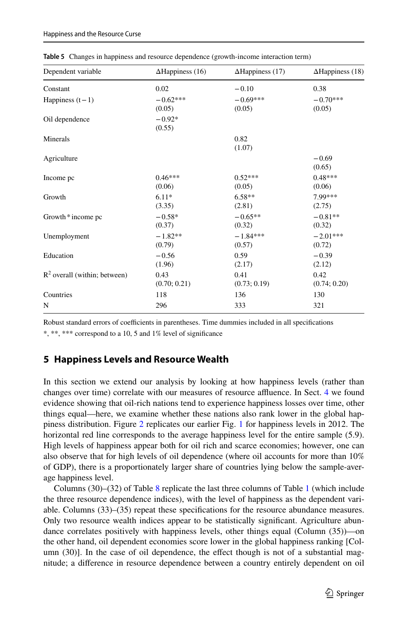| Dependent variable             | $\Delta$ Happiness (16) | $\Delta$ Happiness (17) | $\Delta$ Happiness (18) |
|--------------------------------|-------------------------|-------------------------|-------------------------|
| Constant                       | 0.02                    | $-0.10$                 | 0.38                    |
| Happiness $(t-1)$              | $-0.62***$              | $-0.69***$              | $-0.70***$              |
|                                | (0.05)                  | (0.05)                  | (0.05)                  |
| Oil dependence                 | $-0.92*$<br>(0.55)      |                         |                         |
| Minerals                       |                         | 0.82<br>(1.07)          |                         |
| Agriculture                    |                         |                         | $-0.69$<br>(0.65)       |
| Income pc                      | $0.46***$               | $0.52***$               | $0.48***$               |
|                                | (0.06)                  | (0.05)                  | (0.06)                  |
| Growth                         | $6.11*$                 | $6.58**$                | 7.99***                 |
|                                | (3.35)                  | (2.81)                  | (2.75)                  |
| Growth * income pc             | $-0.58*$                | $-0.65**$               | $-0.81**$               |
|                                | (0.37)                  | (0.32)                  | (0.32)                  |
| Unemployment                   | $-1.82**$               | $-1.84***$              | $-2.01***$              |
|                                | (0.79)                  | (0.57)                  | (0.72)                  |
| Education                      | $-0.56$                 | 0.59                    | $-0.39$                 |
|                                | (1.96)                  | (2.17)                  | (2.12)                  |
| $R2$ overall (within; between) | 0.43                    | 0.41                    | 0.42                    |
|                                | (0.70; 0.21)            | (0.73; 0.19)            | (0.74; 0.20)            |
| Countries                      | 118                     | 136                     | 130                     |
| N                              | 296                     | 333                     | 321                     |

<span id="page-15-1"></span>**Table 5** Changes in happiness and resource dependence (growth-income interaction term)

Robust standard errors of coefficients in parentheses. Time dummies included in all specifications

\*, \*\*, \*\*\* correspond to a 10, 5 and 1% level of signifcance

#### <span id="page-15-0"></span>**5 Happiness Levels and Resource Wealth**

In this section we extend our analysis by looking at how happiness levels (rather than changes over time) correlate with our measures of resource affluence. In Sect. [4](#page-7-0) we found evidence showing that oil-rich nations tend to experience happiness losses over time, other things equal—here, we examine whether these nations also rank lower in the global happiness distribution. Figure [2](#page-18-1) replicates our earlier Fig. [1](#page-5-0) for happiness levels in 2012. The horizontal red line corresponds to the average happiness level for the entire sample (5.9). High levels of happiness appear both for oil rich and scarce economies; however, one can also observe that for high levels of oil dependence (where oil accounts for more than 10% of GDP), there is a proportionately larger share of countries lying below the sample-average happiness level.

Columns (30)–(32) of Table [8](#page-19-0) replicate the last three columns of Table [1](#page-8-0) (which include the three resource dependence indices), with the level of happiness as the dependent variable. Columns (33)–(35) repeat these specifcations for the resource abundance measures. Only two resource wealth indices appear to be statistically signifcant. Agriculture abundance correlates positively with happiness levels, other things equal (Column (35))—on the other hand, oil dependent economies score lower in the global happiness ranking [Column (30)]. In the case of oil dependence, the efect though is not of a substantial magnitude; a diference in resource dependence between a country entirely dependent on oil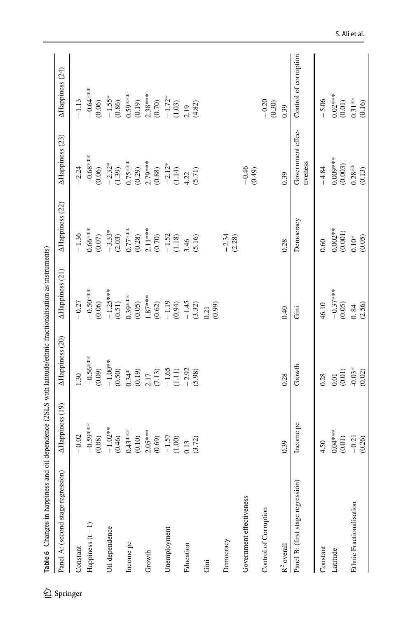| Panel A: (second stage regression) | AHappiness (19)       | AHappiness (20)                                                | AHappiness (21)                                                                                | AHappiness (22)                                                  | AHappiness (23)                                                    | AHappiness (24)                                                                             |
|------------------------------------|-----------------------|----------------------------------------------------------------|------------------------------------------------------------------------------------------------|------------------------------------------------------------------|--------------------------------------------------------------------|---------------------------------------------------------------------------------------------|
|                                    |                       |                                                                |                                                                                                |                                                                  |                                                                    |                                                                                             |
| Constant                           | $-0.02$               | 1.30                                                           | $-0.27$                                                                                        | $-1.36$                                                          | $-2.24$                                                            | $-1.13$                                                                                     |
| $Happiness(t-1)$                   | $-0.59***$<br>(0.08)  | $-0.56***$<br>(0.09)                                           | $-0.50***$                                                                                     | $0.66***$                                                        | $-0.68***$<br>(0.06)                                               | $-0.64***$<br>(0.06)                                                                        |
|                                    |                       |                                                                |                                                                                                |                                                                  |                                                                    |                                                                                             |
| Oil dependence                     | $-1.02**$             |                                                                | $-1.25***$                                                                                     |                                                                  |                                                                    |                                                                                             |
|                                    | (0.46)                | $-1.00***$<br>(0.50)                                           | (0.51)                                                                                         | $-3.33*$<br>(2.03)                                               |                                                                    | $-1.55*$<br>(0.86)                                                                          |
| Income pc                          | $0.43***$             |                                                                | $0.39***$                                                                                      |                                                                  |                                                                    |                                                                                             |
|                                    | $(0.10)$              | $0.34*$<br>(0.19)                                              | $(0.05)$                                                                                       | $0.77***$<br>(0.28)                                              | $-2.32*$<br>(1.39)<br>0.75***<br>(0.29)                            | $0.59***$<br>(0.19)                                                                         |
| Growth                             |                       |                                                                | $1.87***$                                                                                      |                                                                  | $2.79***$                                                          |                                                                                             |
|                                    | $2.05***$<br>(0.69)   |                                                                |                                                                                                |                                                                  |                                                                    |                                                                                             |
| Unemployment                       |                       | 2.17<br>$(7.13)$<br>$-1.65$<br>$(1.11)$<br>$-2.92$<br>$(5.98)$ |                                                                                                | $2.11***$<br>(0.70)<br>(1.52<br>-1.52<br>(1.18)<br>3.46<br>3.16) | $(0.88)$<br>$-2.12$ <sup>*</sup><br>$(1.14)$<br>$4.22$<br>$(5.71)$ | $\begin{array}{l} 2.38^{***} \\ (0.70) \\ (1.03) \\ (1.03) \\ (1.03) \\ (4.82) \end{array}$ |
|                                    | $-1.57$<br>(1.00)     |                                                                |                                                                                                |                                                                  |                                                                    |                                                                                             |
| Education                          | $\frac{0.13}{(3.72)}$ |                                                                |                                                                                                |                                                                  |                                                                    |                                                                                             |
|                                    |                       |                                                                |                                                                                                |                                                                  |                                                                    |                                                                                             |
| iai<br>Gini                        |                       |                                                                | $\begin{array}{l} (0.62) \\ -1.19 \\ (0.94) \\ -1.45 \\ (3.32) \\ (0.21 \\ (0.99) \end{array}$ |                                                                  |                                                                    |                                                                                             |
| Democracy                          |                       |                                                                |                                                                                                |                                                                  |                                                                    |                                                                                             |
|                                    |                       |                                                                |                                                                                                | $-2.34$<br>(2.28)                                                |                                                                    |                                                                                             |
| Government effectiveness           |                       |                                                                |                                                                                                |                                                                  | $-0.46$<br>(0.49)                                                  |                                                                                             |
| Control of Corruption              |                       |                                                                |                                                                                                |                                                                  |                                                                    |                                                                                             |
|                                    |                       |                                                                |                                                                                                |                                                                  |                                                                    | $-0.20$<br>(0.30)                                                                           |
| R <sup>2</sup> overall             | 0.39                  | 0.28                                                           | 0.40                                                                                           | 0.28                                                             | 0.39                                                               | 0.39                                                                                        |
| Panel B: (first stage regression)  | Income pc             | Growth                                                         | iai<br>Gi                                                                                      | Democracy                                                        | Government effec-<br>tiveness                                      | Control of corruption                                                                       |
| Constant                           | 4.50                  | 0.28                                                           | 46.10                                                                                          | 0.60                                                             | $-4.84$                                                            | $-5.06$                                                                                     |
| Latitude                           | $0.04***$             | 0.01                                                           | $-0.37***$                                                                                     | $0.002***$<br>(0.001)                                            | $0.009***$                                                         | $0.02***$<br>(0.01)                                                                         |
|                                    | $(0.01)$              | $(0.01)$                                                       | (0.05)                                                                                         |                                                                  | (0.003)                                                            |                                                                                             |
| Ethnic Fractionalisation           | $-0.21$<br>(0.26)     | $-0.03*$<br>(0.02)                                             | $0.84$<br>(2.56)                                                                               | $0.10*$<br>$(0.05)$                                              | $0.28***$<br>(0.13)                                                | $0.31***$<br>(0.16)                                                                         |
|                                    |                       |                                                                |                                                                                                |                                                                  |                                                                    |                                                                                             |

<span id="page-16-0"></span>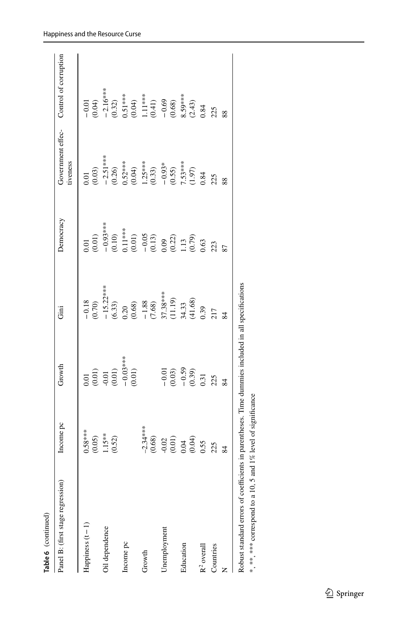| Table 6 (continued)                                                                                |                                                                                              |                                                                                                         |                                                                                                                                                                                                                                        |                                                                                                                                                                                                                                                                                          |                                                                                                                                                                    |                                                                                                                                                                                                                                  |
|----------------------------------------------------------------------------------------------------|----------------------------------------------------------------------------------------------|---------------------------------------------------------------------------------------------------------|----------------------------------------------------------------------------------------------------------------------------------------------------------------------------------------------------------------------------------------|------------------------------------------------------------------------------------------------------------------------------------------------------------------------------------------------------------------------------------------------------------------------------------------|--------------------------------------------------------------------------------------------------------------------------------------------------------------------|----------------------------------------------------------------------------------------------------------------------------------------------------------------------------------------------------------------------------------|
| Panel B: (first stage regression)                                                                  | Income pc                                                                                    | Growth                                                                                                  | iai<br>Gir                                                                                                                                                                                                                             | Democracy                                                                                                                                                                                                                                                                                | Government effec-<br>tiveness                                                                                                                                      | Control of corruption                                                                                                                                                                                                            |
| Happiness $(t-1)$                                                                                  |                                                                                              |                                                                                                         | $-0.18$<br>0.70)                                                                                                                                                                                                                       |                                                                                                                                                                                                                                                                                          |                                                                                                                                                                    | $-0.01$<br>0.04)                                                                                                                                                                                                                 |
| Oil dependence                                                                                     | $\begin{array}{c} 0.58***\\ (0.05)\\ 1.15**\\ (0.52)\end{array}$                             |                                                                                                         |                                                                                                                                                                                                                                        |                                                                                                                                                                                                                                                                                          |                                                                                                                                                                    |                                                                                                                                                                                                                                  |
| Income pc                                                                                          |                                                                                              | $\begin{array}{l} (0.01\\ (0.01)\\ (0.01)\\ (0.01)\\ (0.01)\\ (0.00)\\ (0.001)\\ (0.001)\\ \end{array}$ |                                                                                                                                                                                                                                        |                                                                                                                                                                                                                                                                                          |                                                                                                                                                                    |                                                                                                                                                                                                                                  |
| Growth                                                                                             |                                                                                              |                                                                                                         |                                                                                                                                                                                                                                        |                                                                                                                                                                                                                                                                                          |                                                                                                                                                                    |                                                                                                                                                                                                                                  |
| Unemployment                                                                                       |                                                                                              |                                                                                                         |                                                                                                                                                                                                                                        |                                                                                                                                                                                                                                                                                          |                                                                                                                                                                    |                                                                                                                                                                                                                                  |
| Education                                                                                          | $7.34**$<br>$(0.68)$<br>$(0.60)$<br>$(0.01)$<br>$(0.01)$<br>$(0.04)$<br>$(0.05)$<br>$(0.55)$ | $\begin{bmatrix} -0.01 \\ 0.03 \\ -0.59 \\ 0.39 \\ 0.31 \end{bmatrix}$                                  | $-15.22***$<br>$(6.33)$<br>$0.20$<br>$0.00$<br>$-1.88$<br>$-1.88$<br>$-1.88$<br>$-1.89$<br>$-1.19$<br>$-1.19$<br>$-1.19$<br>$-1.19$<br>$-1.19$<br>$-1.19$<br>$-1.19$<br>$-1.19$<br>$-1.19$<br>$-1.19$<br>$-1.19$<br>$-1.19$<br>$-1.19$ | $\begin{array}{l} 0.01\\ 0.01)\\ 0.93^{***}\\ -0.93^{***}\\ 0.11^{***}\\ -0.05\\ 0.05\\ -0.05\\ 0.02\\ 0.03\\ 0.03\\ 0.03\\ 0.03\\ 0.03\\ 0.03\\ 0.03\\ 0.03\\ 0.03\\ 0.03\\ 0.03\\ 0.03\\ 0.03\\ 0.03\\ 0.03\\ 0.03\\ 0.03\\ 0.03\\ 0.03\\ 0.03\\ 0.03\\ 0.03\\ 0.03\\ 0.03\\ 0.03\\ 0$ | 0.01<br>(0.03)<br>$-2.51***$<br>$-2.51***$<br>(0.26)<br>(0.33)<br>(0.33)<br>(0.35)<br>(0.55)<br>(5.57)<br>(1.97)<br>(1.97)<br>(1.97)<br>(1.98)<br>(2.84)<br>(2.84) | $-2.16$ ***<br>$-2.16$ ***<br>$0.51$ ***<br>$0.11$ ***<br>$0.69$<br>$0.69$<br>$0.69$<br>$0.69$<br>$0.69$<br>$0.69$<br>$0.69$<br>$0.69$<br>$0.69$<br>$0.64$<br>$0.41$<br>$0.40$<br>$0.69$<br>$0.69$<br>$0.69$<br>$0.69$<br>$0.69$ |
| $R^2$ overall                                                                                      |                                                                                              |                                                                                                         |                                                                                                                                                                                                                                        |                                                                                                                                                                                                                                                                                          |                                                                                                                                                                    |                                                                                                                                                                                                                                  |
| Countries                                                                                          |                                                                                              |                                                                                                         |                                                                                                                                                                                                                                        |                                                                                                                                                                                                                                                                                          |                                                                                                                                                                    |                                                                                                                                                                                                                                  |
|                                                                                                    |                                                                                              | 84                                                                                                      | 84                                                                                                                                                                                                                                     |                                                                                                                                                                                                                                                                                          |                                                                                                                                                                    |                                                                                                                                                                                                                                  |
| Robust standard errors of coefficients in parentheses. Time dummies included in all specifications |                                                                                              |                                                                                                         |                                                                                                                                                                                                                                        |                                                                                                                                                                                                                                                                                          |                                                                                                                                                                    |                                                                                                                                                                                                                                  |

Happiness and the Resource Curse

\*, \*\*, \*\*\* correspond to a 10, 5 and 1% level of signifcance

\*, \*\*, \*\*\* correspond to a 10, 5 and 1% level of significance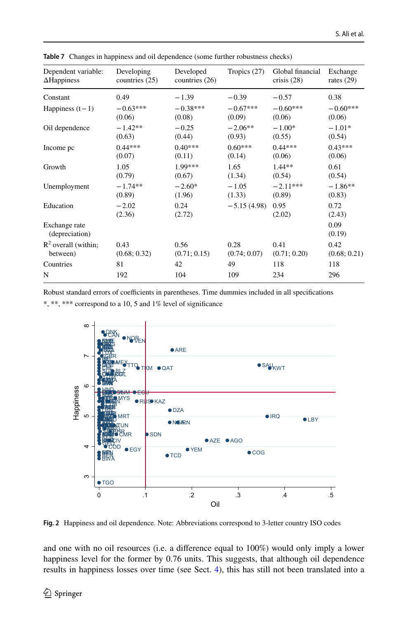| Dependent variable:             | Developing        | Developed      | Tropics $(27)$ | Global financial | Exchange       |
|---------------------------------|-------------------|----------------|----------------|------------------|----------------|
| $\Delta$ Happiness              | countries (25)    | countries (26) |                | crisis $(28)$    | rates $(29)$   |
| Constant                        | 0.49              | $-1.39$        | $-0.39$        | $-0.57$          | 0.38           |
| Happiness $(t-1)$               | $-0.63***$        | $-0.38***$     | $-0.67***$     | $-0.60***$       | $-0.60***$     |
|                                 | (0.06)            | (0.08)         | (0.09)         | (0.06)           | (0.06)         |
| Oil dependence                  | $-1.42**$         | $-0.25$        | $-2.06**$      | $-1.00*$         | $-1.01*$       |
|                                 | (0.63)            | (0.44)         | (0.93)         | (0.55)           | (0.54)         |
| Income pc                       | $0.44***$         | $0.40***$      | $0.60***$      | $0.44***$        | $0.43***$      |
|                                 | (0.07)            | (0.11)         | (0.14)         | (0.06)           | (0.06)         |
| Growth                          | 1.05              | 1.99***        | 1.65           | $1.44**$         | 0.61           |
|                                 | (0.79)            | (0.67)         | (1.34)         | (0.54)           | (0.54)         |
| Unemployment                    | $-1.74**$         | $-2.60*$       | $-1.05$        | $-2.11***$       | $-1.86**$      |
|                                 | (0.89)            | (1.96)         | (1.33)         | (0.89)           | (0.83)         |
| Education                       | $-2.02$<br>(2.36) | 0.24<br>(2.72) | $-5.15(4.98)$  | 0.95<br>(2.02)   | 0.72<br>(2.43) |
| Exchange rate<br>(depreciation) |                   |                |                |                  | 0.09<br>(0.19) |
| $\mathbb{R}^2$ overall (within; | 0.43              | 0.56           | 0.28           | 0.41             | 0.42           |
| between)                        | (0.68; 0.32)      | (0.71; 0.15)   | (0.74; 0.07)   | (0.71; 0.20)     | (0.68; 0.21)   |
| Countries                       | 81                | 42             | 49             | 118              | 118            |
| N                               | 192               | 104            | 109            | 234              | 296            |

<span id="page-18-0"></span>**Table 7** Changes in happiness and oil dependence (some further robustness checks)

Robust standard errors of coefficients in parentheses. Time dummies included in all specifications

\*, \*\*, \*\*\* correspond to a 10, 5 and 1% level of signifcance



<span id="page-18-1"></span>**Fig. 2** Happiness and oil dependence. Note: Abbreviations correspond to 3-letter country ISO codes

and one with no oil resources (i.e. a diference equal to 100%) would only imply a lower happiness level for the former by 0.76 units. This suggests, that although oil dependence results in happiness losses over time (see Sect. [4\)](#page-7-0), this has still not been translated into a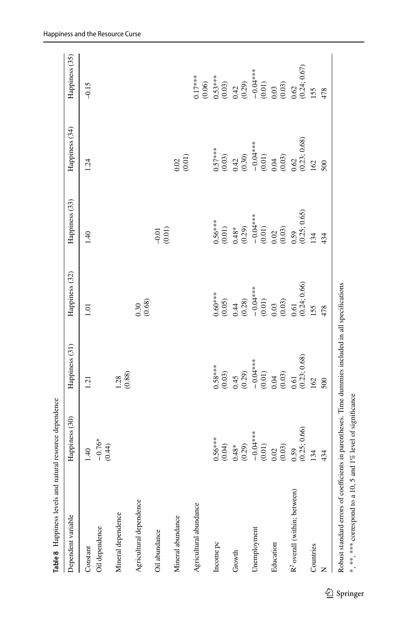| Table 8 Happiness levels and natural resource dependence                                           |                                                                          |                                                                                                                                                |                                                                                                             |                                                                                                            |                                                                                                                                                      |                                                                                                                                                                                                                                                                                                                                     |
|----------------------------------------------------------------------------------------------------|--------------------------------------------------------------------------|------------------------------------------------------------------------------------------------------------------------------------------------|-------------------------------------------------------------------------------------------------------------|------------------------------------------------------------------------------------------------------------|------------------------------------------------------------------------------------------------------------------------------------------------------|-------------------------------------------------------------------------------------------------------------------------------------------------------------------------------------------------------------------------------------------------------------------------------------------------------------------------------------|
| Dependent variable                                                                                 | Happiness (30)                                                           | Happiness (31)                                                                                                                                 | Happiness (32)                                                                                              | Happiness (33)                                                                                             | Happiness (34)                                                                                                                                       | Happiness (35)                                                                                                                                                                                                                                                                                                                      |
| Constant                                                                                           | 1.40                                                                     | 1.21                                                                                                                                           | $1.01\,$                                                                                                    | 1.40                                                                                                       | 1.24                                                                                                                                                 | $-0.15$                                                                                                                                                                                                                                                                                                                             |
| Oil dependence                                                                                     | $-0.76*$<br>(0.44)                                                       |                                                                                                                                                |                                                                                                             |                                                                                                            |                                                                                                                                                      |                                                                                                                                                                                                                                                                                                                                     |
| Mineral dependence                                                                                 |                                                                          | $\frac{1.28}{(0.88)}$                                                                                                                          |                                                                                                             |                                                                                                            |                                                                                                                                                      |                                                                                                                                                                                                                                                                                                                                     |
| Agricultural dependence                                                                            |                                                                          |                                                                                                                                                | $\frac{0.30}{0.68}$                                                                                         |                                                                                                            |                                                                                                                                                      |                                                                                                                                                                                                                                                                                                                                     |
| Oil abundance                                                                                      |                                                                          |                                                                                                                                                |                                                                                                             | $-0.01$<br>$(0.01)$                                                                                        |                                                                                                                                                      |                                                                                                                                                                                                                                                                                                                                     |
| Mineral abundance                                                                                  |                                                                          |                                                                                                                                                |                                                                                                             |                                                                                                            | $^{0.02}_{(0.01)}$                                                                                                                                   |                                                                                                                                                                                                                                                                                                                                     |
| Agricultural abundance                                                                             |                                                                          |                                                                                                                                                |                                                                                                             |                                                                                                            |                                                                                                                                                      | $\begin{array}{l} 0.17 {^{\ast\ast\ast}}\\ 0.06\\ 0.63{^{\ast\ast\ast}}\\ 0.63{^{\ast\ast\ast}}\\ 0.03{^{\ast\ast}}\\ 0.29{^{\ast\ast\ast}}\\ 0.02{^{\ast\ast}}\\ 0.01{^{\ast\ast\ast}}\\ 0.01{^{\ast\ast\ast}}\\ 0.03{^{\ast\ast}}\\ 0.03{^{\ast\ast}}\\ 0.03{^{\ast}}\\ 0.02{^{\ast}};0.67{^{\ast}}\\ 155{^{\ast}}\\ \end{array}$ |
| Income pc                                                                                          | $0.56***$                                                                |                                                                                                                                                |                                                                                                             |                                                                                                            |                                                                                                                                                      |                                                                                                                                                                                                                                                                                                                                     |
|                                                                                                    | (0.04)                                                                   |                                                                                                                                                | $0.60***$<br>(0.05)                                                                                         | $0.56***$                                                                                                  |                                                                                                                                                      |                                                                                                                                                                                                                                                                                                                                     |
| Growth                                                                                             |                                                                          |                                                                                                                                                |                                                                                                             |                                                                                                            |                                                                                                                                                      |                                                                                                                                                                                                                                                                                                                                     |
|                                                                                                    |                                                                          |                                                                                                                                                |                                                                                                             |                                                                                                            |                                                                                                                                                      |                                                                                                                                                                                                                                                                                                                                     |
| Unemployment                                                                                       | 0.48*<br>(0.29)<br>(0.29)<br>- 0.04***<br>(0.01)<br>0.02<br>0.59<br>0.59 | $0.58***$<br>$(0.03)$<br>$0.45$<br>$(0.29)$<br>$(0.01)$<br>$(0.01)$<br>$(0.01)$<br>$(0.03)$<br>$(0.03)$<br>$(0.03)$<br>$(0.23; 0.68)$<br>$162$ | 0.44<br>$(0.28)$<br>$-0.04***$<br>$-0.04***$<br>$(0.01)$<br>$(0.01)$<br>$(0.03)$<br>$(0.24; 0.66)$<br>$155$ | 0.48*<br>(0.29)<br>$-0.04$ ***<br>$-0.04$ ***<br>(0.01)<br>(0.03)<br>(0.59<br>(0.25; 0.65)<br>(0.25; 0.65) | $0.57***$<br>$(0.03)$<br>$(0.04)$<br>$(0.30)$<br>$(0.30)$<br>$(0.00****)$<br>$(0.01)$<br>$(0.04)$<br>$(0.03)$<br>$(0.02)$<br>$(0.23; 0.68)$<br>$162$ |                                                                                                                                                                                                                                                                                                                                     |
| Education                                                                                          |                                                                          |                                                                                                                                                |                                                                                                             |                                                                                                            |                                                                                                                                                      |                                                                                                                                                                                                                                                                                                                                     |
|                                                                                                    |                                                                          |                                                                                                                                                |                                                                                                             |                                                                                                            |                                                                                                                                                      |                                                                                                                                                                                                                                                                                                                                     |
| $R2$ overall (within; between)                                                                     |                                                                          |                                                                                                                                                |                                                                                                             |                                                                                                            |                                                                                                                                                      |                                                                                                                                                                                                                                                                                                                                     |
|                                                                                                    | (0.25; 0.66)                                                             |                                                                                                                                                |                                                                                                             |                                                                                                            |                                                                                                                                                      |                                                                                                                                                                                                                                                                                                                                     |
| Countries                                                                                          | 134                                                                      |                                                                                                                                                |                                                                                                             |                                                                                                            |                                                                                                                                                      |                                                                                                                                                                                                                                                                                                                                     |
| Z                                                                                                  | 434                                                                      | 500                                                                                                                                            |                                                                                                             | 134                                                                                                        | 500                                                                                                                                                  | 478                                                                                                                                                                                                                                                                                                                                 |
| Robust standard errors of coefficients in parentheses. Time dummies included in all specifications |                                                                          |                                                                                                                                                |                                                                                                             |                                                                                                            |                                                                                                                                                      |                                                                                                                                                                                                                                                                                                                                     |

\*, \*\*, \*\*\* correspond to a 10, 5 and 1% level of signifcance

<span id="page-19-0"></span>\*, \*\*\*, \*\*\* correspond to a 10, 5 and 1% level of significance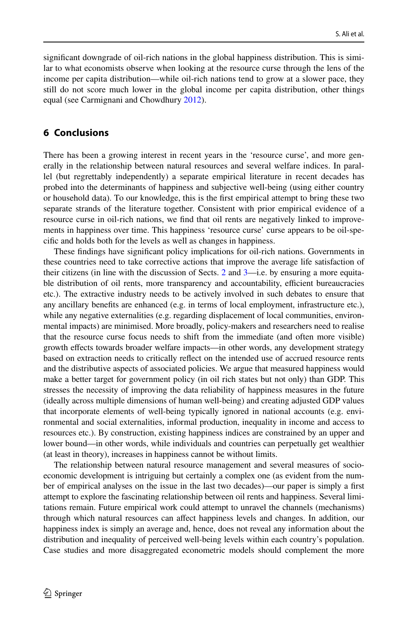signifcant downgrade of oil-rich nations in the global happiness distribution. This is similar to what economists observe when looking at the resource curse through the lens of the income per capita distribution—while oil-rich nations tend to grow at a slower pace, they still do not score much lower in the global income per capita distribution, other things equal (see Carmignani and Chowdhury [2012](#page-26-28)).

#### <span id="page-20-0"></span>**6 Conclusions**

There has been a growing interest in recent years in the 'resource curse', and more generally in the relationship between natural resources and several welfare indices. In parallel (but regrettably independently) a separate empirical literature in recent decades has probed into the determinants of happiness and subjective well-being (using either country or household data). To our knowledge, this is the frst empirical attempt to bring these two separate strands of the literature together. Consistent with prior empirical evidence of a resource curse in oil-rich nations, we fnd that oil rents are negatively linked to improvements in happiness over time. This happiness 'resource curse' curse appears to be oil-specifc and holds both for the levels as well as changes in happiness.

These fndings have signifcant policy implications for oil-rich nations. Governments in these countries need to take corrective actions that improve the average life satisfaction of their citizens (in line with the discussion of Sects. [2](#page-3-0) and [3](#page-4-0)—i.e. by ensuring a more equitable distribution of oil rents, more transparency and accountability, efficient bureaucracies etc.). The extractive industry needs to be actively involved in such debates to ensure that any ancillary benefts are enhanced (e.g. in terms of local employment, infrastructure etc.), while any negative externalities (e.g. regarding displacement of local communities, environmental impacts) are minimised. More broadly, policy-makers and researchers need to realise that the resource curse focus needs to shift from the immediate (and often more visible) growth efects towards broader welfare impacts—in other words, any development strategy based on extraction needs to critically refect on the intended use of accrued resource rents and the distributive aspects of associated policies. We argue that measured happiness would make a better target for government policy (in oil rich states but not only) than GDP. This stresses the necessity of improving the data reliability of happiness measures in the future (ideally across multiple dimensions of human well-being) and creating adjusted GDP values that incorporate elements of well-being typically ignored in national accounts (e.g. environmental and social externalities, informal production, inequality in income and access to resources etc.). By construction, existing happiness indices are constrained by an upper and lower bound—in other words, while individuals and countries can perpetually get wealthier (at least in theory), increases in happiness cannot be without limits.

The relationship between natural resource management and several measures of socioeconomic development is intriguing but certainly a complex one (as evident from the number of empirical analyses on the issue in the last two decades)—our paper is simply a frst attempt to explore the fascinating relationship between oil rents and happiness. Several limitations remain. Future empirical work could attempt to unravel the channels (mechanisms) through which natural resources can afect happiness levels and changes. In addition, our happiness index is simply an average and, hence, does not reveal any information about the distribution and inequality of perceived well-being levels within each country's population. Case studies and more disaggregated econometric models should complement the more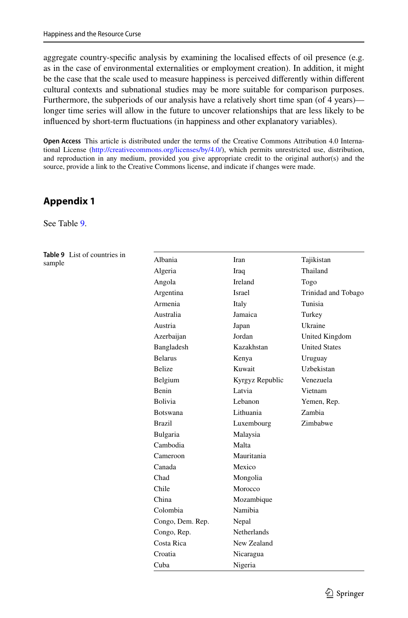aggregate country-specific analysis by examining the localised effects of oil presence (e.g. as in the case of environmental externalities or employment creation). In addition, it might be the case that the scale used to measure happiness is perceived diferently within diferent cultural contexts and subnational studies may be more suitable for comparison purposes. Furthermore, the subperiods of our analysis have a relatively short time span (of 4 years) longer time series will allow in the future to uncover relationships that are less likely to be infuenced by short-term fuctuations (in happiness and other explanatory variables).

**Open Access** This article is distributed under the terms of the Creative Commons Attribution 4.0 International License ([http://creativecommons.org/licenses/by/4.0/\)](http://creativecommons.org/licenses/by/4.0/), which permits unrestricted use, distribution, and reproduction in any medium, provided you give appropriate credit to the original author(s) and the source, provide a link to the Creative Commons license, and indicate if changes were made.

#### <span id="page-21-0"></span>**Appendix 1**

See Table [9](#page-21-1).

# **Table 9** List of countries in

<span id="page-21-1"></span>

| Table 9 List of countries in<br>sample | Albania          | Iran               | Tajikistan           |
|----------------------------------------|------------------|--------------------|----------------------|
|                                        | Algeria          | Iraq               | Thailand             |
|                                        | Angola           | Ireland            | Togo                 |
|                                        | Argentina        | Israel             | Trinidad and Tobago  |
|                                        | Armenia          | Italy              | Tunisia              |
|                                        | Australia        | Jamaica            | Turkey               |
|                                        | Austria          | Japan              | Ukraine              |
|                                        | Azerbaijan       | Jordan             | United Kingdom       |
|                                        | Bangladesh       | Kazakhstan         | <b>United States</b> |
|                                        | <b>Belarus</b>   | Kenya              | Uruguay              |
|                                        | Belize           | Kuwait             | Uzbekistan           |
|                                        | Belgium          | Kyrgyz Republic    | Venezuela            |
|                                        | Benin            | Latvia             | Vietnam              |
|                                        | Bolivia          | Lebanon            | Yemen, Rep.          |
|                                        | <b>Botswana</b>  | Lithuania          | Zambia               |
|                                        | <b>Brazil</b>    | Luxembourg         | Zimbabwe             |
|                                        | Bulgaria         | Malaysia           |                      |
|                                        | Cambodia         | Malta              |                      |
|                                        | Cameroon         | Mauritania         |                      |
|                                        | Canada           | Mexico             |                      |
|                                        | Chad             | Mongolia           |                      |
|                                        | Chile            | Morocco            |                      |
|                                        | China            | Mozambique         |                      |
|                                        | Colombia         | Namibia            |                      |
|                                        | Congo, Dem. Rep. | Nepal              |                      |
|                                        | Congo, Rep.      | <b>Netherlands</b> |                      |
|                                        | Costa Rica       | New Zealand        |                      |
|                                        | Croatia          | Nicaragua          |                      |
|                                        | Cuba             | Nigeria            |                      |
|                                        |                  |                    |                      |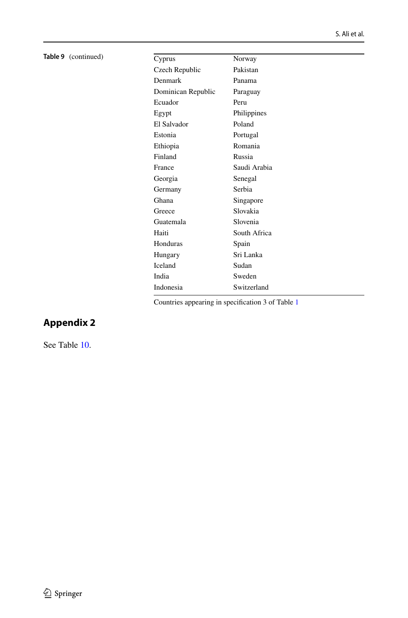**Table 9** (continued)

| Cyprus             | Norway       |
|--------------------|--------------|
| Czech Republic     | Pakistan     |
| Denmark            | Panama       |
| Dominican Republic | Paraguay     |
| Ecuador            | Peru         |
| Egypt              | Philippines  |
| El Salvador        | Poland       |
| Estonia            | Portugal     |
| Ethiopia           | Romania      |
| Finland            | Russia       |
| France             | Saudi Arabia |
| Georgia            | Senegal      |
| Germany            | Serbia       |
| Ghana              | Singapore    |
| Greece             | Slovakia     |
| Guatemala          | Slovenia     |
| Haiti              | South Africa |
| Honduras           | Spain        |
| Hungary            | Sri Lanka    |
| Iceland            | Sudan        |
| India              | Sweden       |
| Indonesia          | Switzerland  |
|                    |              |

Countries appearing in specifcation 3 of Table [1](#page-8-0)

# <span id="page-22-0"></span>**Appendix 2**

See Table [10](#page-23-0).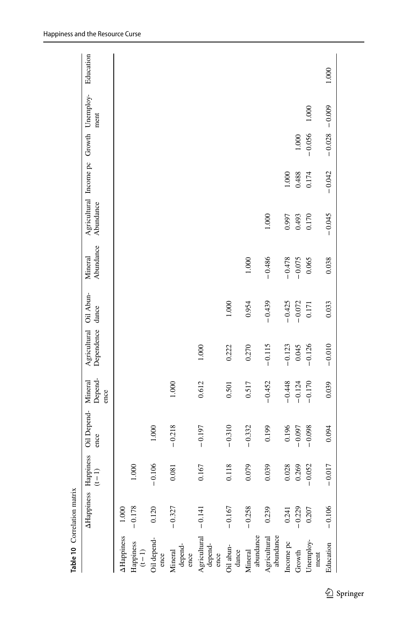|                                       | $\Delta$ Happiness Happiness<br>$(t-1)$ |          | Oil Depend-<br>ence | Depend-<br>Mineral<br>ence | Agricultural<br>Dependence | Oil Abun-<br>dance | Abundance<br>Mineral | Agricultural Income pc Growth Unemploy-<br>Abundance |          |          | ment     | Education |
|---------------------------------------|-----------------------------------------|----------|---------------------|----------------------------|----------------------------|--------------------|----------------------|------------------------------------------------------|----------|----------|----------|-----------|
| <b>AHappiness</b>                     | 1.000                                   |          |                     |                            |                            |                    |                      |                                                      |          |          |          |           |
| Hapiness<br>$(t-1)$                   | $-0.178$                                | 1.000    |                     |                            |                            |                    |                      |                                                      |          |          |          |           |
| Oil depend-<br>$enc$ e $nc$ e         | 0.120                                   | $-0.106$ | 1.000               |                            |                            |                    |                      |                                                      |          |          |          |           |
| Mineral<br>depend-<br>ence            | $-0.327$                                | 0.081    | $-0.218$            | 1.000                      |                            |                    |                      |                                                      |          |          |          |           |
| Agricultural<br>depend-<br>$enc$ ence | $-0.141$                                | 0.167    | $-0.197$            | 0.612                      | 1.000                      |                    |                      |                                                      |          |          |          |           |
| Oil abun-<br>dance                    | $-0.167$                                | 0.118    | $-0.310$            | 0.501                      | 0.222                      | 1.000              |                      |                                                      |          |          |          |           |
| abundance<br>Mineral                  | $-0.258$                                | 0.079    | $-0.332$            | 0.517                      | 0.270                      | 0.954              | 1.000                |                                                      |          |          |          |           |
| abundance<br>Agricultural             | 0.239                                   | 0.039    | 0.199               | $-0.452$                   | $-0.115$                   | $-0.439$           | $-0.486$             | 1.000                                                |          |          |          |           |
| Income pc                             | 0.241                                   | 0.028    | 0.196               | $-0.448$                   | $-0.123$                   | $-0.425$           | $-0.478$             | 0.997                                                | 1.000    |          |          |           |
| Growth                                | $-0.229$                                | 0.269    | $-0.097$            | $-0.124$                   | 0.045                      | $-0.072$           | $-0.075$             | 0.493                                                | 0.488    | 1.000    |          |           |
| Unemploy-<br>ment                     | 0.207                                   | $-0.052$ | $-0.098$            | $-0.170$                   | $-0.126$                   | 0.171              | 0.065                | 0.170                                                | 0.174    | $-0.056$ | 1.000    |           |
| Education                             | $-0.106$                                | $-0.017$ | 0.094               | 0.039                      | $-0.010$                   | 0.033              | 0.038                | $-0.045$                                             | $-0.042$ | $-0.028$ | $-0.009$ | 1.000     |
|                                       |                                         |          |                     |                            |                            |                    |                      |                                                      |          |          |          |           |

<span id="page-23-0"></span>**Table 10** Correlation matrix

Table 10 Correlation matrix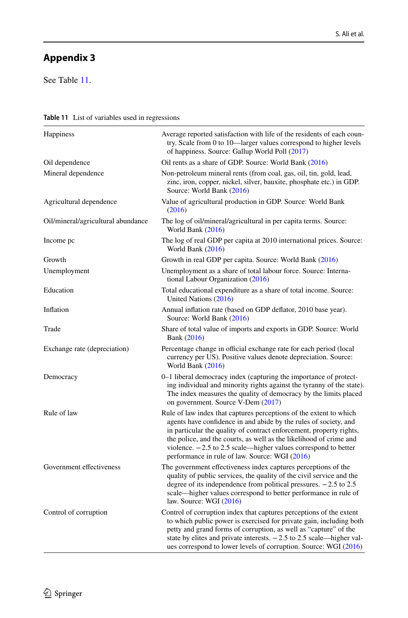# <span id="page-24-0"></span>**Appendix 3**

See Table [11](#page-25-1).

| Happiness                          | Average reported satisfaction with life of the residents of each coun-<br>try. Scale from 0 to 10—larger values correspond to higher levels<br>of happiness. Source: Gallup World Poll (2017)                                                                                                                                                                                                             |  |  |
|------------------------------------|-----------------------------------------------------------------------------------------------------------------------------------------------------------------------------------------------------------------------------------------------------------------------------------------------------------------------------------------------------------------------------------------------------------|--|--|
| Oil dependence                     | Oil rents as a share of GDP. Source: World Bank (2016)                                                                                                                                                                                                                                                                                                                                                    |  |  |
| Mineral dependence                 | Non-petroleum mineral rents (from coal, gas, oil, tin, gold, lead,<br>zinc, iron, copper, nickel, silver, bauxite, phosphate etc.) in GDP.<br>Source: World Bank (2016)                                                                                                                                                                                                                                   |  |  |
| Agricultural dependence            | Value of agricultural production in GDP. Source: World Bank<br>(2016)                                                                                                                                                                                                                                                                                                                                     |  |  |
| Oil/mineral/agricultural abundance | The log of oil/mineral/agricultural in per capita terms. Source:<br>World Bank $(2016)$                                                                                                                                                                                                                                                                                                                   |  |  |
| Income pc                          | The log of real GDP per capita at 2010 international prices. Source:<br>World Bank $(2016)$                                                                                                                                                                                                                                                                                                               |  |  |
| Growth                             | Growth in real GDP per capita. Source: World Bank (2016)                                                                                                                                                                                                                                                                                                                                                  |  |  |
| Unemployment                       | Unemployment as a share of total labour force. Source: Interna-<br>tional Labour Organization (2016)                                                                                                                                                                                                                                                                                                      |  |  |
| Education                          | Total educational expenditure as a share of total income. Source:<br>United Nations (2016)                                                                                                                                                                                                                                                                                                                |  |  |
| Inflation                          | Annual inflation rate (based on GDP deflator, 2010 base year).<br>Source: World Bank (2016)                                                                                                                                                                                                                                                                                                               |  |  |
| Trade                              | Share of total value of imports and exports in GDP. Source: World<br>Bank (2016)                                                                                                                                                                                                                                                                                                                          |  |  |
| Exchange rate (depreciation)       | Percentage change in official exchange rate for each period (local<br>currency per US). Positive values denote depreciation. Source:<br>World Bank (2016)                                                                                                                                                                                                                                                 |  |  |
| Democracy                          | 0–1 liberal democracy index (capturing the importance of protect-<br>ing individual and minority rights against the tyranny of the state).<br>The index measures the quality of democracy by the limits placed<br>on government. Source V-Dem (2017)                                                                                                                                                      |  |  |
| Rule of law                        | Rule of law index that captures perceptions of the extent to which<br>agents have confidence in and abide by the rules of society, and<br>in particular the quality of contract enforcement, property rights,<br>the police, and the courts, as well as the likelihood of crime and<br>violence. $-2.5$ to 2.5 scale—higher values correspond to better<br>performance in rule of law. Source: WGI (2016) |  |  |
| Government effectiveness           | The government effectiveness index captures perceptions of the<br>quality of public services, the quality of the civil service and the<br>degree of its independence from political pressures. $-2.5$ to 2.5<br>scale-higher values correspond to better performance in rule of<br>law. Source: WGI (2016)                                                                                                |  |  |
| Control of corruption              | Control of corruption index that captures perceptions of the extent<br>to which public power is exercised for private gain, including both<br>petty and grand forms of corruption, as well as "capture" of the<br>state by elites and private interests. $-2.5$ to 2.5 scale—higher val-<br>ues correspond to lower levels of corruption. Source: WGI (2016)                                              |  |  |

#### **Table 11** List of variables used in regressions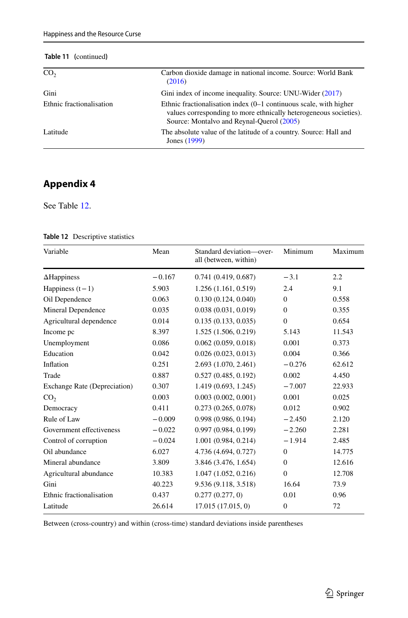| CO <sub>2</sub>          | Carbon dioxide damage in national income. Source: World Bank<br>(2016)                                                                                                                 |
|--------------------------|----------------------------------------------------------------------------------------------------------------------------------------------------------------------------------------|
| Gini                     | Gini index of income inequality. Source: UNU-Wider (2017)                                                                                                                              |
| Ethnic fractionalisation | Ethnic fractionalisation index $(0-1)$ continuous scale, with higher<br>values corresponding to more ethnically heterogeneous societies).<br>Source: Montalvo and Reynal-Querol (2005) |
| Latitude                 | The absolute value of the latitude of a country. Source: Hall and<br>Jones (1999)                                                                                                      |

#### <span id="page-25-1"></span>**Table 11 (**continued**)**

# <span id="page-25-0"></span>**Appendix 4**

See Table [12](#page-25-2).

<span id="page-25-2"></span>

| Table 12 Descriptive statistics |
|---------------------------------|
|                                 |

| Variable                     | Mean     | Standard deviation-over-<br>all (between, within) | Minimum          | Maximum |
|------------------------------|----------|---------------------------------------------------|------------------|---------|
| $\Delta$ Happiness           | $-0.167$ | 0.741(0.419, 0.687)                               | $-3.1$           | $2.2\,$ |
| Happiness $(t-1)$            | 5.903    | 1.256(1.161, 0.519)                               | 2.4              | 9.1     |
| Oil Dependence               | 0.063    | 0.130(0.124, 0.040)                               | $\mathbf{0}$     | 0.558   |
| Mineral Dependence           | 0.035    | 0.038(0.031, 0.019)                               | $\mathbf{0}$     | 0.355   |
| Agricultural dependence      | 0.014    | 0.135(0.133, 0.035)                               | $\mathbf{0}$     | 0.654   |
| Income pc                    | 8.397    | 1.525 (1.506, 0.219)                              | 5.143            | 11.543  |
| Unemployment                 | 0.086    | 0.062(0.059, 0.018)                               | 0.001            | 0.373   |
| Education                    | 0.042    | 0.026(0.023, 0.013)                               | 0.004            | 0.366   |
| Inflation                    | 0.251    | 2.693 (1.070, 2.461)                              | $-0.276$         | 62.612  |
| Trade                        | 0.887    | 0.527(0.485, 0.192)                               | 0.002            | 4.450   |
| Exchange Rate (Depreciation) | 0.307    | 1.419 (0.693, 1.245)                              | $-7.007$         | 22.933  |
| CO <sub>2</sub>              | 0.003    | 0.003(0.002, 0.001)                               | 0.001            | 0.025   |
| Democracy                    | 0.411    | 0.273(0.265, 0.078)                               | 0.012            | 0.902   |
| Rule of Law                  | $-0.009$ | 0.998 (0.986, 0.194)                              | $-2.450$         | 2.120   |
| Government effectiveness     | $-0.022$ | 0.997(0.984, 0.199)                               | $-2.260$         | 2.281   |
| Control of corruption        | $-0.024$ | 1.001(0.984, 0.214)                               | $-1.914$         | 2.485   |
| Oil abundance                | 6.027    | 4.736 (4.694, 0.727)                              | $\mathbf{0}$     | 14.775  |
| Mineral abundance            | 3.809    | 3.846 (3.476, 1.654)                              | $\mathbf{0}$     | 12.616  |
| Agricultural abundance       | 10.383   | 1.047(1.052, 0.216)                               | $\mathbf{0}$     | 12.708  |
| Gini                         | 40.223   | 9.536 (9.118, 3.518)                              | 16.64            | 73.9    |
| Ethnic fractionalisation     | 0.437    | 0.277(0.277, 0)                                   | 0.01             | 0.96    |
| Latitude                     | 26.614   | 17.015 (17.015, 0)                                | $\boldsymbol{0}$ | 72      |

Between (cross-country) and within (cross-time) standard deviations inside parentheses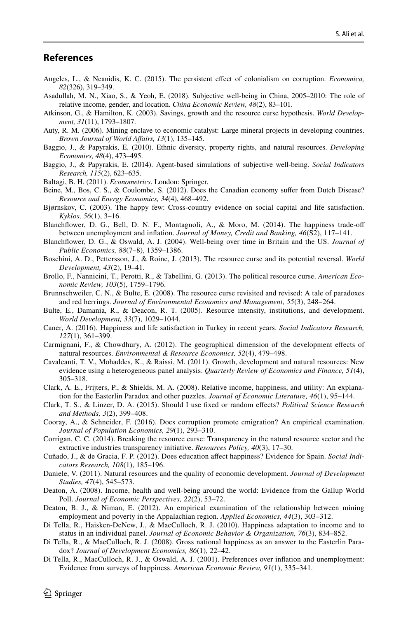#### **References**

- <span id="page-26-26"></span>Angeles, L., & Neanidis, K. C. (2015). The persistent efect of colonialism on corruption. *Economica, 82*(326), 319–349.
- <span id="page-26-5"></span>Asadullah, M. N., Xiao, S., & Yeoh, E. (2018). Subjective well-being in China, 2005–2010: The role of relative income, gender, and location. *China Economic Review, 48*(2), 83–101.
- <span id="page-26-4"></span>Atkinson, G., & Hamilton, K. (2003). Savings, growth and the resource curse hypothesis. *World Development, 31*(11), 1793–1807.
- <span id="page-26-13"></span>Auty, R. M. (2006). Mining enclave to economic catalyst: Large mineral projects in developing countries. *Brown Journal of World Afairs, 13*(1), 135–145.
- <span id="page-26-0"></span>Baggio, J., & Papyrakis, E. (2010). Ethnic diversity, property rights, and natural resources. *Developing Economies, 48*(4), 473–495.
- <span id="page-26-11"></span>Baggio, J., & Papyrakis, E. (2014). Agent-based simulations of subjective well-being. *Social Indicators Research, 115*(2), 623–635.
- <span id="page-26-21"></span>Baltagi, B. H. (2011). *Econometrics*. London: Springer.
- <span id="page-26-12"></span>Beine, M., Bos, C. S., & Coulombe, S. (2012). Does the Canadian economy suffer from Dutch Disease? *Resource and Energy Economics, 34*(4), 468–492.
- <span id="page-26-18"></span>Bjørnskov, C. (2003). The happy few: Cross-country evidence on social capital and life satisfaction. *Kyklos, 56*(1), 3–16.
- <span id="page-26-16"></span>Blanchfower, D. G., Bell, D. N. F., Montagnoli, A., & Moro, M. (2014). The happiness trade-of between unemployment and infation. *Journal of Money, Credit and Banking, 46*(S2), 117–141.
- <span id="page-26-7"></span>Blanchfower, D. G., & Oswald, A. J. (2004). Well-being over time in Britain and the US. *Journal of Public Economics, 88*(7–8), 1359–1386.
- <span id="page-26-19"></span>Boschini, A. D., Pettersson, J., & Roine, J. (2013). The resource curse and its potential reversal. *World Development, 43*(2), 19–41.
- <span id="page-26-14"></span>Brollo, F., Nannicini, T., Perotti, R., & Tabellini, G. (2013). The political resource curse. *American Economic Review, 103*(5), 1759–1796.
- <span id="page-26-24"></span>Brunnschweiler, C. N., & Bulte, E. (2008). The resource curse revisited and revised: A tale of paradoxes and red herrings. *Journal of Environmental Economics and Management, 55*(3), 248–264.
- <span id="page-26-1"></span>Bulte, E., Damania, R., & Deacon, R. T. (2005). Resource intensity, institutions, and development. *World Development, 33*(7), 1029–1044.
- <span id="page-26-10"></span>Caner, A. (2016). Happiness and life satisfaction in Turkey in recent years. *Social Indicators Research, 127*(1), 361–399.
- <span id="page-26-28"></span>Carmignani, F., & Chowdhury, A. (2012). The geographical dimension of the development efects of natural resources. *Environmental & Resource Economics, 52*(4), 479–498.
- <span id="page-26-25"></span>Cavalcanti, T. V., Mohaddes, K., & Raissi, M. (2011). Growth, development and natural resources: New evidence using a heterogeneous panel analysis. *Quarterly Review of Economics and Finance, 51*(4), 305–318.
- <span id="page-26-6"></span>Clark, A. E., Frijters, P., & Shields, M. A. (2008). Relative income, happiness, and utility: An explanation for the Easterlin Paradox and other puzzles. *Journal of Economic Literature, 46*(1), 95–144.
- <span id="page-26-22"></span>Clark, T. S., & Linzer, D. A. (2015). Should I use fxed or random efects? *Political Science Research and Methods, 3*(2), 399–408.
- <span id="page-26-27"></span>Cooray, A., & Schneider, F. (2016). Does corruption promote emigration? An empirical examination. *Journal of Population Economics, 29*(1), 293–310.
- <span id="page-26-20"></span>Corrigan, C. C. (2014). Breaking the resource curse: Transparency in the natural resource sector and the extractive industries transparency initiative. *Resources Policy, 40*(3), 17–30.
- <span id="page-26-17"></span>Cuñado, J., & de Gracia, F. P. (2012). Does education afect happiness? Evidence for Spain. *Social Indicators Research, 108*(1), 185–196.
- <span id="page-26-2"></span>Daniele, V. (2011). Natural resources and the quality of economic development. *Journal of Development Studies, 47*(4), 545–573.
- <span id="page-26-23"></span>Deaton, A. (2008). Income, health and well-being around the world: Evidence from the Gallup World Poll. *Journal of Economic Perspectives, 22*(2), 53–72.
- <span id="page-26-3"></span>Deaton, B. J., & Niman, E. (2012). An empirical examination of the relationship between mining employment and poverty in the Appalachian region. *Applied Economics, 44*(3), 303–312.
- <span id="page-26-15"></span>Di Tella, R., Haisken-DeNew, J., & MacCulloch, R. J. (2010). Happiness adaptation to income and to status in an individual panel. *Journal of Economic Behavior & Organization, 76*(3), 834–852.
- <span id="page-26-8"></span>Di Tella, R., & MacCulloch, R. J. (2008). Gross national happiness as an answer to the Easterlin Paradox? *Journal of Development Economics, 86*(1), 22–42.
- <span id="page-26-9"></span>Di Tella, R., MacCulloch, R. J., & Oswald, A. J. (2001). Preferences over infation and unemployment: Evidence from surveys of happiness. *American Economic Review, 91*(1), 335–341.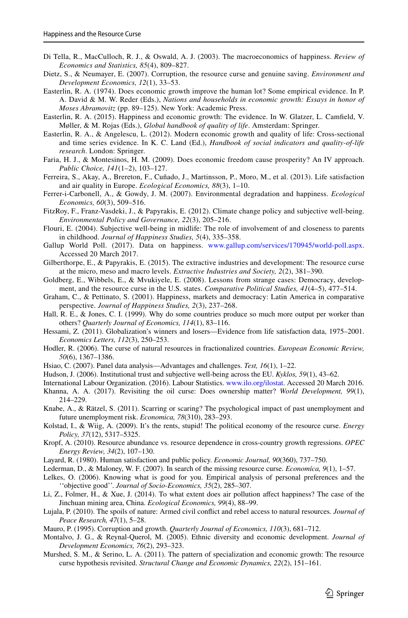- <span id="page-27-19"></span>Di Tella, R., MacCulloch, R. J., & Oswald, A. J. (2003). The macroeconomics of happiness. *Review of Economics and Statistics, 85*(4), 809–827.
- <span id="page-27-1"></span>Dietz, S., & Neumayer, E. (2007). Corruption, the resource curse and genuine saving. *Environment and Development Economics, 12*(1), 33–53.
- <span id="page-27-12"></span>Easterlin, R. A. (1974). Does economic growth improve the human lot? Some empirical evidence. In P. A. David & M. W. Reder (Eds.), *Nations and households in economic growth: Essays in honor of Moses Abramovitz* (pp. 89–125). New York: Academic Press.
- <span id="page-27-13"></span>Easterlin, R. A. (2015). Happiness and economic growth: The evidence. In W. Glatzer, L. Camfeld, V. Møller, & M. Rojas (Eds.), *Global handbook of quality of life*. Amsterdam: Springer.
- <span id="page-27-2"></span>Easterlin, R. A., & Angelescu, L. (2012). Modern economic growth and quality of life: Cross-sectional and time series evidence. In K. C. Land (Ed.), *Handbook of social indicators and quality-of-life research*. London: Springer.
- <span id="page-27-30"></span>Faria, H. J., & Montesinos, H. M. (2009). Does economic freedom cause prosperity? An IV approach. *Public Choice, 141*(1–2), 103–127.
- <span id="page-27-21"></span>Ferreira, S., Akay, A., Brereton, F., Cuñado, J., Martinsson, P., Moro, M., et al. (2013). Life satisfaction and air quality in Europe. *Ecological Economics, 88*(3), 1–10.
- <span id="page-27-4"></span>Ferrer-i-Carbonell, A., & Gowdy, J. M. (2007). Environmental degradation and happiness. *Ecological Economics, 60*(3), 509–516.
- <span id="page-27-14"></span>FitzRoy, F., Franz-Vasdeki, J., & Papyrakis, E. (2012). Climate change policy and subjective well-being. *Environmental Policy and Governance, 22*(3), 205–216.
- <span id="page-27-17"></span>Flouri, E. (2004). Subjective well-being in midlife: The role of involvement of and closeness to parents in childhood. *Journal of Happiness Studies, 5*(4), 335–358.
- <span id="page-27-11"></span>Gallup World Poll. (2017). Data on happiness. [www.gallup.com/services/170945/world-poll.aspx.](http://www.gallup.com/services/170945/world-poll.aspx) Accessed 20 March 2017.
- <span id="page-27-23"></span>Gilberthorpe, E., & Papyrakis, E. (2015). The extractive industries and development: The resource curse at the micro, meso and macro levels. *Extractive Industries and Society, 2*(2), 381–390.
- <span id="page-27-7"></span>Goldberg, E., Wibbels, E., & Mvukiyele, E. (2008). Lessons from strange cases: Democracy, development, and the resource curse in the U.S. states. *Comparative Political Studies, 41*(4–5), 477–514.
- <span id="page-27-18"></span>Graham, C., & Pettinato, S. (2001). Happiness, markets and democracy: Latin America in comparative perspective. *Journal of Happiness Studies, 2*(3), 237–268.
- <span id="page-27-28"></span>Hall, R. E., & Jones, C. I. (1999). Why do some countries produce so much more output per worker than others? *Quarterly Journal of Economics, 114*(1), 83–116.
- <span id="page-27-3"></span>Hessami, Z. (2011). Globalization's winners and losers—Evidence from life satisfaction data, 1975–2001. *Economics Letters, 112*(3), 250–253.
- <span id="page-27-10"></span>Hodler, R. (2006). The curse of natural resources in fractionalized countries. *European Economic Review, 50*(6), 1367–1386.
- <span id="page-27-25"></span>Hsiao, C. (2007). Panel data analysis—Advantages and challenges. *Test, 16*(1), 1–22.
- <span id="page-27-22"></span>Hudson, J. (2006). Institutional trust and subjective well-being across the EU. *Kyklos, 59*(1), 43–62.
- <span id="page-27-26"></span>International Labour Organization. (2016). Labour Statistics. [www.ilo.org/ilostat](http://www.ilo.org/ilostat). Accessed 20 March 2016.
- <span id="page-27-5"></span>Khanna, A. A. (2017). Revisiting the oil curse: Does ownership matter? *World Development, 99*(1), 214–229.
- <span id="page-27-16"></span>Knabe, A., & Rätzel, S. (2011). Scarring or scaring? The psychological impact of past unemployment and future unemployment risk. *Economica, 78*(310), 283–293.
- <span id="page-27-9"></span>Kolstad, I., & Wiig, A. (2009). It's the rents, stupid! The political economy of the resource curse. *Energy Policy, 37*(12), 5317–5325.
- <span id="page-27-27"></span>Kropf, A. (2010). Resource abundance vs. resource dependence in cross-country growth regressions. *OPEC Energy Review, 34*(2), 107–130.
- <span id="page-27-8"></span>Layard, R. (1980). Human satisfaction and public policy. *Economic Journal, 90*(360), 737–750.
- <span id="page-27-24"></span>Lederman, D., & Maloney, W. F. (2007). In search of the missing resource curse. *Economíca, 9*(1), 1–57.
- <span id="page-27-15"></span>Lelkes, O. (2006). Knowing what is good for you. Empirical analysis of personal preferences and the ''objective good''. *Journal of Socio-Economics, 35*(2), 285–307.
- <span id="page-27-20"></span>Li, Z., Folmer, H., & Xue, J. (2014). To what extent does air pollution afect happiness? The case of the Jinchuan mining area, China. *Ecological Economics, 99*(4), 88–99.
- <span id="page-27-6"></span>Lujala, P. (2010). The spoils of nature: Armed civil confict and rebel access to natural resources. *Journal of Peace Research, 47*(1), 5–28.
- <span id="page-27-31"></span>Mauro, P. (1995). Corruption and growth. *Quarterly Journal of Economics, 110*(3), 681–712.
- <span id="page-27-29"></span>Montalvo, J. G., & Reynal-Querol, M. (2005). Ethnic diversity and economic development. *Journal of Development Economics, 76*(2), 293–323.
- <span id="page-27-0"></span>Murshed, S. M., & Serino, L. A. (2011). The pattern of specialization and economic growth: The resource curse hypothesis revisited. *Structural Change and Economic Dynamics, 22*(2), 151–161.